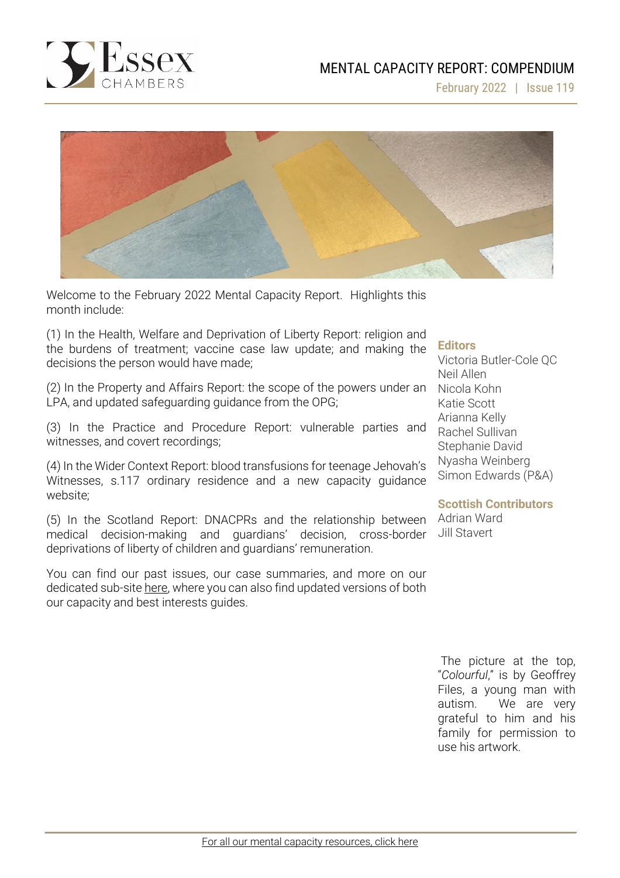

February 2022 | Issue 119



Welcome to the February 2022 Mental Capacity Report. Highlights this month include:

(1) In the Health, Welfare and Deprivation of Liberty Report: religion and the burdens of treatment; vaccine case law update; and making the decisions the person would have made;

(2) In the Property and Affairs Report: the scope of the powers under an LPA, and updated safeguarding guidance from the OPG;

(3) In the Practice and Procedure Report: vulnerable parties and witnesses, and covert recordings;

(4) In the Wider Context Report: blood transfusions for teenage Jehovah's Witnesses, s.117 ordinary residence and a new capacity guidance website;

(5) In the Scotland Report: DNACPRs and the relationship between medical decision-making and guardians' decision, cross-border deprivations of liberty of children and guardians' remuneration.

You can find our past issues, our case summaries, and more on our dedicated sub-site [here,](http://www.39essex.com/resources-and-training/mental-capacity-law/) where you can also find updated versions of both our capacity and best interests guides.

## **Editors**

Victoria Butler-Cole QC Neil Allen Nicola Kohn Katie Scott Arianna Kelly Rachel Sullivan Stephanie David Nyasha Weinberg Simon Edwards (P&A)

#### **Scottish Contributors**

Adrian Ward Jill Stavert

The picture at the top, "*Colourful*," is by Geoffrey Files, a young man with autism. We are very grateful to him and his family for permission to use his artwork.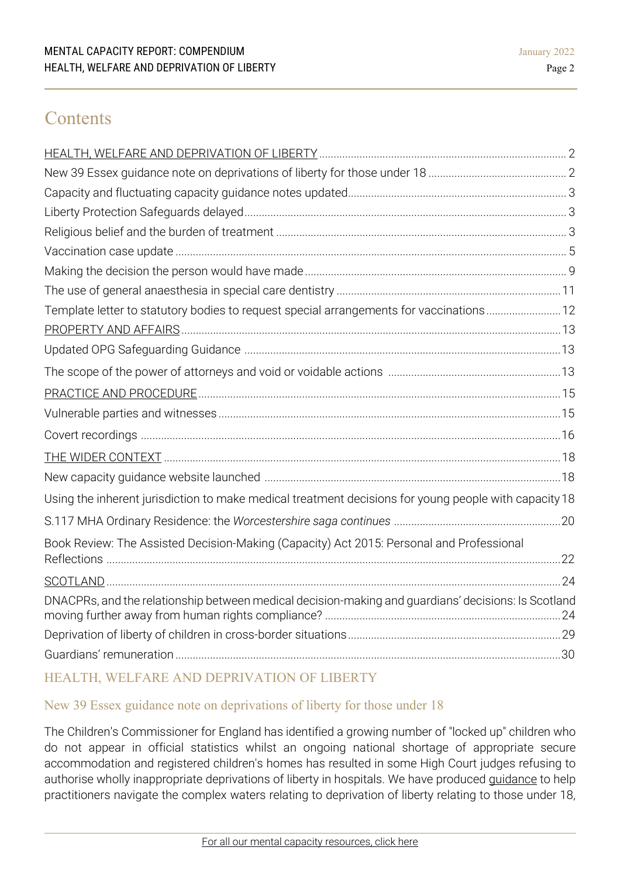# **Contents**

| Template letter to statutory bodies to request special arrangements for vaccinations 12               |  |
|-------------------------------------------------------------------------------------------------------|--|
|                                                                                                       |  |
|                                                                                                       |  |
|                                                                                                       |  |
|                                                                                                       |  |
|                                                                                                       |  |
|                                                                                                       |  |
|                                                                                                       |  |
|                                                                                                       |  |
| Using the inherent jurisdiction to make medical treatment decisions for young people with capacity 18 |  |
|                                                                                                       |  |
| Book Review: The Assisted Decision-Making (Capacity) Act 2015: Personal and Professional              |  |
|                                                                                                       |  |
| DNACPRs, and the relationship between medical decision-making and guardians' decisions: Is Scotland   |  |
|                                                                                                       |  |
|                                                                                                       |  |

# <span id="page-1-0"></span>HEALTH, WELFARE AND DEPRIVATION OF LIBERTY

# New 39 Essex guidance note on deprivations of liberty for those under 18

The Children's Commissioner for England has identified a growing number of "locked up" children who do not appear in official statistics whilst an ongoing national shortage of appropriate secure accommodation and registered children's homes has resulted in some High Court judges refusing to authorise wholly inappropriate deprivations of liberty in hospitals. We have produced *[guidance](https://www.39essex.com/new-39-essex-guidance-note-on-deprivations-of-liberty-for-those-under-18/)* to help practitioners navigate the complex waters relating to deprivation of liberty relating to those under 18,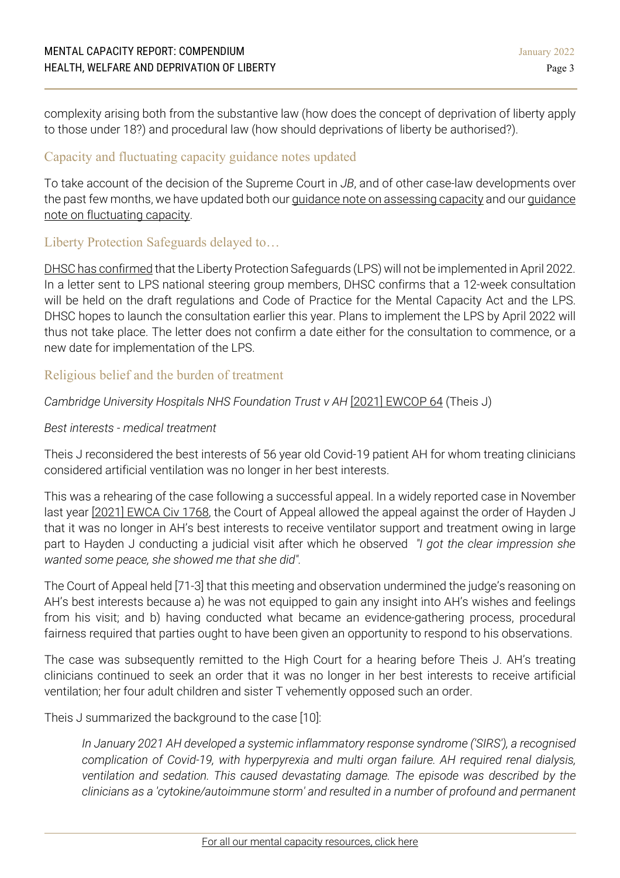complexity arising both from the substantive law (how does the concept of deprivation of liberty apply to those under 18?) and procedural law (how should deprivations of liberty be authorised?).

# Capacity and fluctuating capacity guidance notes updated

To take account of the decision of the Supreme Court in *JB*, and of other case-law developments over the past few months, we have updated both our *guidance note on [assessing](https://www.39essex.com/mental-capacity-guidance-note-assessment/) capacity* and our *[guidance](https://www.39essex.com/mental-capacity-guidance-note-assessment/)* note on [fluctuating](https://www.39essex.com/mental-capacity-guidance-note-assessment/) capacity.

# Liberty Protection Safeguards delayed to…

DHSC has [confirmed](https://www.gov.uk/government/publications/liberty-protection-safeguards-delay-to-implementation/letter-from-dhsc-to-liberty-protection-safeguards-lps-national-steering-group-members) that the Liberty Protection Safeguards (LPS) will not be implemented in April 2022. In a letter sent to LPS national steering group members, DHSC confirms that a 12-week consultation will be held on the draft regulations and Code of Practice for the Mental Capacity Act and the LPS. DHSC hopes to launch the consultation earlier this year. Plans to implement the LPS by April 2022 will thus not take place. The letter does not confirm a date either for the consultation to commence, or a new date for implementation of the LPS.

# Religious belief and the burden of treatment

# *Cambridge University Hospitals NHS Foundation Trust v AH* [2021] [EWCOP](https://www.bailii.org/ew/cases/EWCOP/2021/64.html) 64 (Theis J)

## *Best interests - medical treatment*

Theis J reconsidered the best interests of 56 year old Covid-19 patient AH for whom treating clinicians considered artificial ventilation was no longer in her best interests.

This was a rehearing of the case following a successful appeal. In a widely reported case in November last year [2021] [EWCA](https://www.bailii.org/ew/cases/EWCA/Civ/2021/1768.html) Civ 1768, the Court of Appeal allowed the appeal against the order of Hayden J that it was no longer in AH's best interests to receive ventilator support and treatment owing in large part to Hayden J conducting a judicial visit after which he observed *"I got the clear impression she wanted some peace, she showed me that she did".*

The Court of Appeal held [71-3] that this meeting and observation undermined the judge's reasoning on AH's best interests because a) he was not equipped to gain any insight into AH's wishes and feelings from his visit; and b) having conducted what became an evidence-gathering process, procedural fairness required that parties ought to have been given an opportunity to respond to his observations.

The case was subsequently remitted to the High Court for a hearing before Theis J. AH's treating clinicians continued to seek an order that it was no longer in her best interests to receive artificial ventilation; her four adult children and sister T vehemently opposed such an order.

Theis J summarized the background to the case [10]:

*In January 2021 AH developed a systemic inflammatory response syndrome ('SIRS'), a recognised complication of Covid-19, with hyperpyrexia and multi organ failure. AH required renal dialysis, ventilation and sedation. This caused devastating damage. The episode was described by the clinicians as a 'cytokine/autoimmune storm' and resulted in a number of profound and permanent*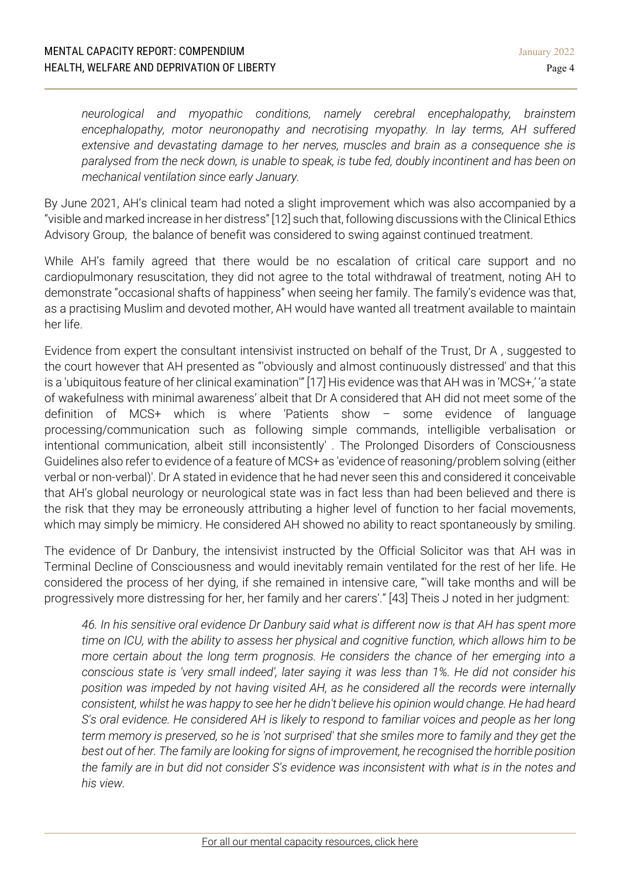*neurological and myopathic conditions, namely cerebral encephalopathy, brainstem encephalopathy, motor neuronopathy and necrotising myopathy. In lay terms, AH suffered extensive and devastating damage to her nerves, muscles and brain as a consequence she is paralysed from the neck down, is unable to speak, is tube fed, doubly incontinent and has been on mechanical ventilation since early January.*

By June 2021, AH's clinical team had noted a slight improvement which was also accompanied by a "visible and marked increase in her distress" [12] such that, following discussions with the Clinical Ethics Advisory Group, the balance of benefit was considered to swing against continued treatment.

While AH's family agreed that there would be no escalation of critical care support and no cardiopulmonary resuscitation, they did not agree to the total withdrawal of treatment, noting AH to demonstrate "occasional shafts of happiness" when seeing her family. The family's evidence was that, as a practising Muslim and devoted mother, AH would have wanted all treatment available to maintain her life.

Evidence from expert the consultant intensivist instructed on behalf of the Trust, Dr A , suggested to the court however that AH presented as "'obviously and almost continuously distressed' and that this is a 'ubiquitous feature of her clinical examination'" [17] His evidence was that AH was in 'MCS+,' 'a state of wakefulness with minimal awareness' albeit that Dr A considered that AH did not meet some of the definition of MCS+ which is where 'Patients show – some evidence of language processing/communication such as following simple commands, intelligible verbalisation or intentional communication, albeit still inconsistently' . The Prolonged Disorders of Consciousness Guidelines also refer to evidence of a feature of MCS+ as 'evidence of reasoning/problem solving (either verbal or non-verbal)'. Dr A stated in evidence that he had never seen this and considered it conceivable that AH's global neurology or neurological state was in fact less than had been believed and there is the risk that they may be erroneously attributing a higher level of function to her facial movements, which may simply be mimicry. He considered AH showed no ability to react spontaneously by smiling.

The evidence of Dr Danbury, the intensivist instructed by the Official Solicitor was that AH was in Terminal Decline of Consciousness and would inevitably remain ventilated for the rest of her life. He considered the process of her dying, if she remained in intensive care, "'will take months and will be progressively more distressing for her, her family and her carers'." [43] Theis J noted in her judgment:

46. In his sensitive oral evidence Dr Danbury said what is different now is that AH has spent more time on ICU, with the ability to assess her physical and cognitive function, which allows him to be *more certain about the long term prognosis. He considers the chance of her emerging into a conscious state is 'very small indeed', later saying it was less than 1%. He did not consider his position was impeded by not having visited AH, as he considered all the records were internally* consistent, whilst he was happy to see her he didn't believe his opinion would change. He had heard *S's oral evidence. He considered AH is likely to respond to familiar voices and people as her long* term memory is preserved, so he is 'not surprised' that she smiles more to family and they get the *best out of her. The family are looking for signs of improvement, he recognised the horrible position* the family are in but did not consider S's evidence was inconsistent with what is in the notes and *his view.*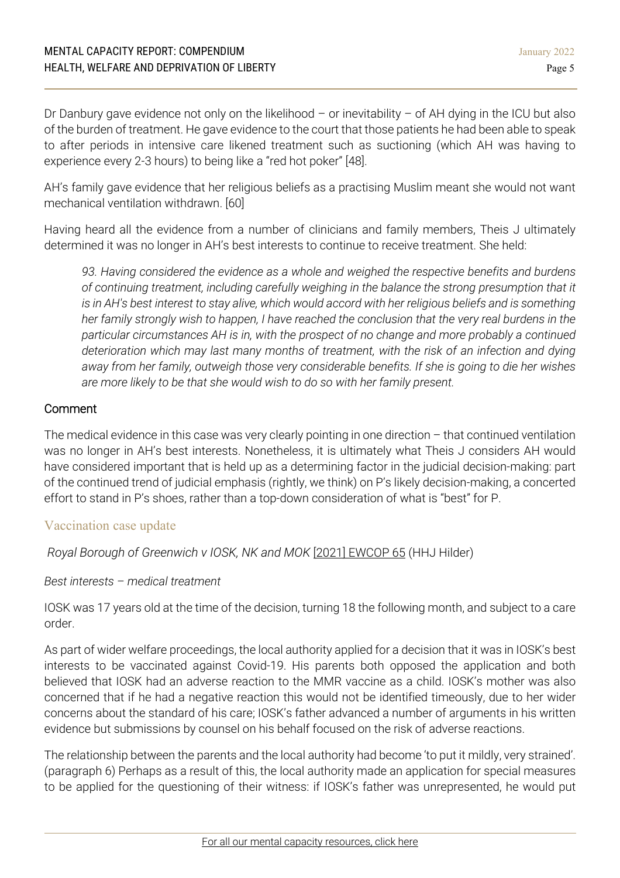Dr Danbury gave evidence not only on the likelihood – or inevitability – of AH dying in the ICU but also of the burden of treatment. He gave evidence to the court that those patients he had been able to speak to after periods in intensive care likened treatment such as suctioning (which AH was having to experience every 2-3 hours) to being like a "red hot poker" [48].

AH's family gave evidence that her religious beliefs as a practising Muslim meant she would not want mechanical ventilation withdrawn. [60]

Having heard all the evidence from a number of clinicians and family members, Theis J ultimately determined it was no longer in AH's best interests to continue to receive treatment. She held:

*93. Having considered the evidence as a whole and weighed the respective benefits and burdens of continuing treatment, including carefully weighing in the balance the strong presumption that it* is in AH's best interest to stay alive, which would accord with her religious beliefs and is something her family strongly wish to happen, I have reached the conclusion that the very real burdens in the *particular circumstances AH is in, with the prospect of no change and more probably a continued deterioration which may last many months of treatment, with the risk of an infection and dying away from her family, outweigh those very considerable benefits. If she is going to die her wishes are more likely to be that she would wish to do so with her family present.*

# Comment

The medical evidence in this case was very clearly pointing in one direction – that continued ventilation was no longer in AH's best interests. Nonetheless, it is ultimately what Theis J considers AH would have considered important that is held up as a determining factor in the judicial decision-making: part of the continued trend of judicial emphasis (rightly, we think) on P's likely decision-making, a concerted effort to stand in P's shoes, rather than a top-down consideration of what is "best" for P.

# Vaccination case update

*Royal Borough of [Greenwich](https://www.bailii.org/ew/cases/EWCOP/2021/65.html) v IOSK, NK and MOK* [2021] EWCOP [65](https://www.bailii.org/ew/cases/EWCOP/2021/65.html) (HHJ Hilder)

# *Best interests – medical treatment*

IOSK was 17 years old at the time of the decision, turning 18 the following month, and subject to a care order.

As part of wider welfare proceedings, the local authority applied for a decision that it was in IOSK's best interests to be vaccinated against Covid-19. His parents both opposed the application and both believed that IOSK had an adverse reaction to the MMR vaccine as a child. IOSK's mother was also concerned that if he had a negative reaction this would not be identified timeously, due to her wider concerns about the standard of his care; IOSK's father advanced a number of arguments in his written evidence but submissions by counsel on his behalf focused on the risk of adverse reactions.

The relationship between the parents and the local authority had become 'to put it mildly, very strained'. (paragraph 6) Perhaps as a result of this, the local authority made an application for special measures to be applied for the questioning of their witness: if IOSK's father was unrepresented, he would put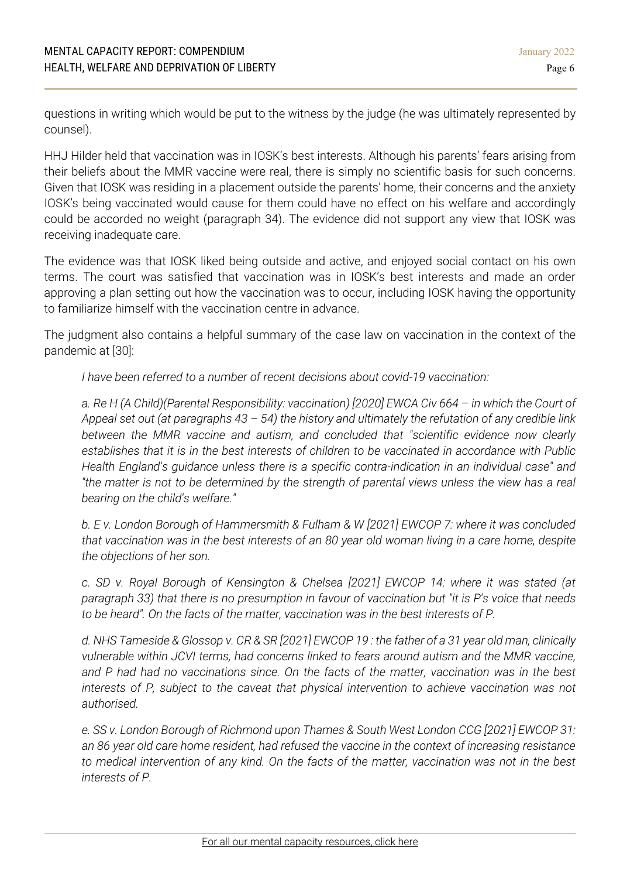questions in writing which would be put to the witness by the judge (he was ultimately represented by counsel).

HHJ Hilder held that vaccination was in IOSK's best interests. Although his parents' fears arising from their beliefs about the MMR vaccine were real, there is simply no scientific basis for such concerns. Given that IOSK was residing in a placement outside the parents' home, their concerns and the anxiety IOSK's being vaccinated would cause for them could have no effect on his welfare and accordingly could be accorded no weight (paragraph 34). The evidence did not support any view that IOSK was receiving inadequate care.

The evidence was that IOSK liked being outside and active, and enjoyed social contact on his own terms. The court was satisfied that vaccination was in IOSK's best interests and made an order approving a plan setting out how the vaccination was to occur, including IOSK having the opportunity to familiarize himself with the vaccination centre in advance.

The judgment also contains a helpful summary of the case law on vaccination in the context of the pandemic at [30]:

*I have been referred to a number of recent decisions about covid-19 vaccination:*

*a. Re H (A Child)(Parental Responsibility: vaccination) [2020] EWCA Civ 664 – in which the Court of* Appeal set out (at paragraphs  $43 - 54$ ) the history and ultimately the refutation of any credible link *between the MMR vaccine and autism, and concluded that "scientific evidence now clearly establishes that it is in the best interests of children to be vaccinated in accordance with Public Health England's guidance unless there is a specific contra-indication in an individual case" and* "the matter is not to be determined by the strength of parental views unless the view has a real *bearing on the child's welfare."*

*b. E v. London Borough of Hammersmith & Fulham & W [2021] EWCOP 7: where it was concluded* that vaccination was in the best interests of an 80 year old woman living in a care home, despite *the objections of her son.*

*c. SD v. Royal Borough of Kensington & Chelsea [2021] EWCOP 14: where it was stated (at* paragraph 33) that there is no presumption in favour of vaccination but "it is P's voice that needs *to be heard". On the facts of the matter, vaccination was in the best interests of P.*

d. NHS Tameside & Glossop v. CR & SR [2021] EWCOP 19: the father of a 31 year old man, clinically *vulnerable within JCVI terms, had concerns linked to fears around autism and the MMR vaccine, and P had had no vaccinations since. On the facts of the matter, vaccination was in the best interests of P, subject to the caveat that physical intervention to achieve vaccination was not authorised.*

*e. SS v. London Borough of Richmond upon Thames & South West London CCG [2021] EWCOP 31: an 86 year old care home resident, had refused the vaccine in the context of increasing resistance to medical intervention of any kind. On the facts of the matter, vaccination was not in the best interests of P.*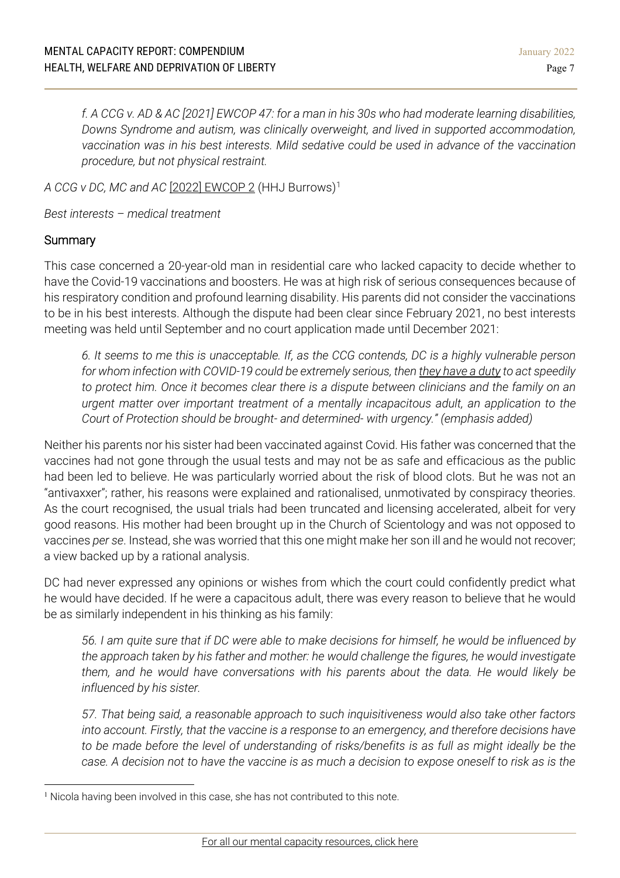f. A CCG v. AD & AC [2021] EWCOP 47: for a man in his 30s who had moderate learning disabilities, *Downs Syndrome and autism, was clinically overweight, and lived in supported accommodation, vaccination was in his best interests. Mild sedative could be used in advance of the vaccination procedure, but not physical restraint.*

*A CCG v DC, MC and AC* [2022] [EWCOP](https://www.bailii.org/ew/cases/EWCOP/2022/2.html) 2 (HHJ Burrows)[1](#page-6-0)

*Best interests – medical treatment*

## **Summary**

This case concerned a 20-year-old man in residential care who lacked capacity to decide whether to have the Covid-19 vaccinations and boosters. He was at high risk of serious consequences because of his respiratory condition and profound learning disability. His parents did not consider the vaccinations to be in his best interests. Although the dispute had been clear since February 2021, no best interests meeting was held until September and no court application made until December 2021:

6. It seems to me this is unacceptable. If, as the CCG contends, DC is a highly vulnerable person *for whom infection with COVID-19 could be extremely serious, then they have a duty to act speedily to protect him. Once it becomes clear there is a dispute between clinicians and the family on an urgent matter over important treatment of a mentally incapacitous adult, an application to the Court of Protection should be brought- and determined- with urgency." (emphasis added)*

Neither his parents nor his sister had been vaccinated against Covid. His father was concerned that the vaccines had not gone through the usual tests and may not be as safe and efficacious as the public had been led to believe. He was particularly worried about the risk of blood clots. But he was not an "antivaxxer"; rather, his reasons were explained and rationalised, unmotivated by conspiracy theories. As the court recognised, the usual trials had been truncated and licensing accelerated, albeit for very good reasons. His mother had been brought up in the Church of Scientology and was not opposed to vaccines *per se*. Instead, she was worried that this one might make her son ill and he would not recover; a view backed up by a rational analysis.

DC had never expressed any opinions or wishes from which the court could confidently predict what he would have decided. If he were a capacitous adult, there was every reason to believe that he would be as similarly independent in his thinking as his family:

56. I am quite sure that if DC were able to make decisions for himself, he would be influenced by *the approach taken by his father and mother: he would challenge the figures, he would investigate them, and he would have conversations with his parents about the data. He would likely be influenced by his sister.*

*57. That being said, a reasonable approach to such inquisitiveness would also take other factors into account. Firstly, that the vaccine is a response to an emergency, and therefore decisions have to be made before the level of understanding of risks/benefits is as full as might ideally be the* case. A decision not to have the vaccine is as much a decision to expose oneself to risk as is the

<span id="page-6-0"></span><sup>&</sup>lt;sup>1</sup> Nicola having been involved in this case, she has not contributed to this note.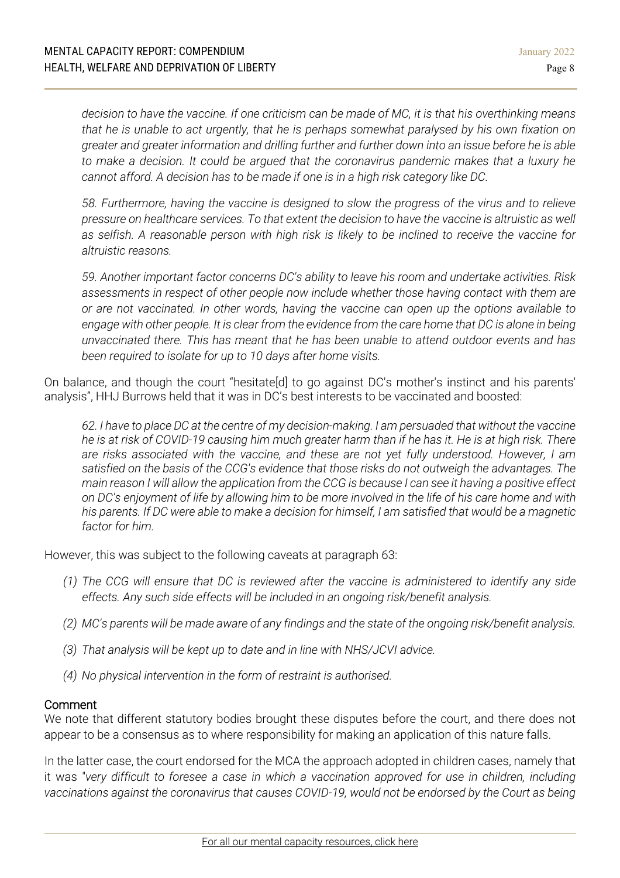decision to have the vaccine. If one criticism can be made of MC, it is that his overthinking means *that he is unable to act urgently, that he is perhaps somewhat paralysed by his own fixation on greater and greater information and drilling further and further down into an issue before he is able to make a decision. It could be argued that the coronavirus pandemic makes that a luxury he cannot afford. A decision has to be made if one is in a high risk category like DC.*

*58. Furthermore, having the vaccine is designed to slow the progress of the virus and to relieve pressure on healthcare services. To that extent the decision to have the vaccine is altruistic as well as selfish. A reasonable person with high risk is likely to be inclined to receive the vaccine for altruistic reasons.*

*59. Another important factor concerns DC's ability to leave his room and undertake activities. Risk assessments in respect of other people now include whether those having contact with them are or are not vaccinated. In other words, having the vaccine can open up the options available to* engage with other people. It is clear from the evidence from the care home that DC is alone in being *unvaccinated there. This has meant that he has been unable to attend outdoor events and has been required to isolate for up to 10 days after home visits.*

On balance, and though the court "hesitate[d] to go against DC's mother's instinct and his parents' analysis", HHJ Burrows held that it was in DC's best interests to be vaccinated and boosted:

62. I have to place DC at the centre of my decision-making. I am persuaded that without the vaccine he is at risk of COVID-19 causing him much greater harm than if he has it. He is at high risk. There *are risks associated with the vaccine, and these are not yet fully understood. However, I am satisfied on the basis of the CCG's evidence that those risks do not outweigh the advantages. The* main reason I will allow the application from the CCG is because I can see it having a positive effect on DC's enjoyment of life by allowing him to be more involved in the life of his care home and with his parents. If DC were able to make a decision for himself, I am satisfied that would be a magnetic *factor for him.*

However, this was subject to the following caveats at paragraph 63:

- *(1) The CCG will ensure that DC is reviewed after the vaccine is administered to identify any side effects. Any such side effects will be included in an ongoing risk/benefit analysis.*
- (2) MC's parents will be made aware of any findings and the state of the ongoing risk/benefit analysis.
- *(3) That analysis will be kept up to date and in line with NHS/JCVI advice.*
- *(4) No physical intervention in the form of restraint is authorised.*

#### Comment

We note that different statutory bodies brought these disputes before the court, and there does not appear to be a consensus as to where responsibility for making an application of this nature falls.

In the latter case, the court endorsed for the MCA the approach adopted in children cases, namely that it was "*very difficult to foresee a case in which a vaccination approved for use in children, including vaccinations against the coronavirus that causes COVID-19, would not be endorsed by the Court as being*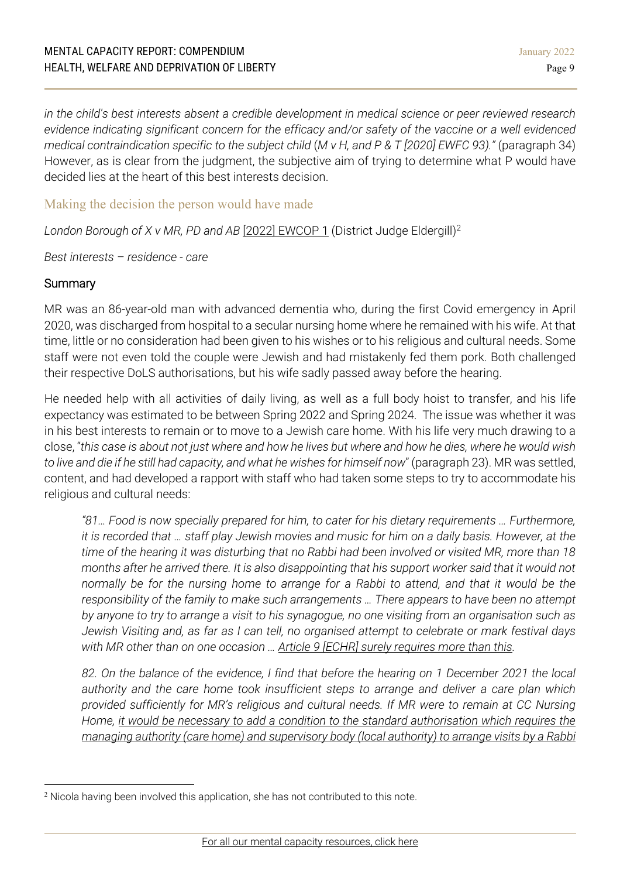*in the child's best interests absent a credible development in medical science or peer reviewed research evidence indicating significant concern for the efficacy and/or safety of the vaccine or a well evidenced medical contraindication specific to the subject child* (*M v H, and P & T [2020] EWFC 93)."* (paragraph 34) However, as is clear from the judgment, the subjective aim of trying to determine what P would have decided lies at the heart of this best interests decision.

# Making the decision the person would have made

*London Borough of X v MR, PD and AB* [2022] [EWCOP](https://www.bailii.org/ew/cases/EWCOP/2022/1.html) 1 (District Judge Eldergill)[2](#page-8-0)

*Best interests – residence - care*

## **Summary**

MR was an 86-year-old man with advanced dementia who, during the first Covid emergency in April 2020, was discharged from hospital to a secular nursing home where he remained with his wife. At that time, little or no consideration had been given to his wishes or to his religious and cultural needs. Some staff were not even told the couple were Jewish and had mistakenly fed them pork. Both challenged their respective DoLS authorisations, but his wife sadly passed away before the hearing.

He needed help with all activities of daily living, as well as a full body hoist to transfer, and his life expectancy was estimated to be between Spring 2022 and Spring 2024. The issue was whether it was in his best interests to remain or to move to a Jewish care home. With his life very much drawing to a close, "this case is about not just where and how he lives but where and how he dies, where he would wish *to live and die if he still had capacity, and what he wishes for himself now*" (paragraph 23). MR was settled, content, and had developed a rapport with staff who had taken some steps to try to accommodate his religious and cultural needs:

*"81… Food is now specially prepared for him, to cater for his dietary requirements … Furthermore,* it is recorded that ... staff play Jewish movies and music for him on a daily basis. However, at the time of the hearing it was disturbing that no Rabbi had been involved or visited MR, more than 18 months after he arrived there. It is also disappointing that his support worker said that it would not *normally be for the nursing home to arrange for a Rabbi to attend, and that it would be the responsibility of the family to make such arrangements … There appears to have been no attempt* by anyone to try to arrange a visit to his synagogue, no one visiting from an organisation such as *Jewish Visiting and, as far as I can tell, no organised attempt to celebrate or mark festival days with MR other than on one occasion … Article 9 [ECHR] surely requires more than this.*

82. On the balance of the evidence, I find that before the hearing on 1 December 2021 the local *authority and the care home took insufficient steps to arrange and deliver a care plan which provided sufficiently for MR's religious and cultural needs. If MR were to remain at CC Nursing Home, it would be necessary to add a condition to the standard authorisation which requires the managing authority (care home) and supervisory body (local authority) to arrange visits by a Rabbi*

<span id="page-8-0"></span><sup>2</sup> Nicola having been involved this application, she has not contributed to this note.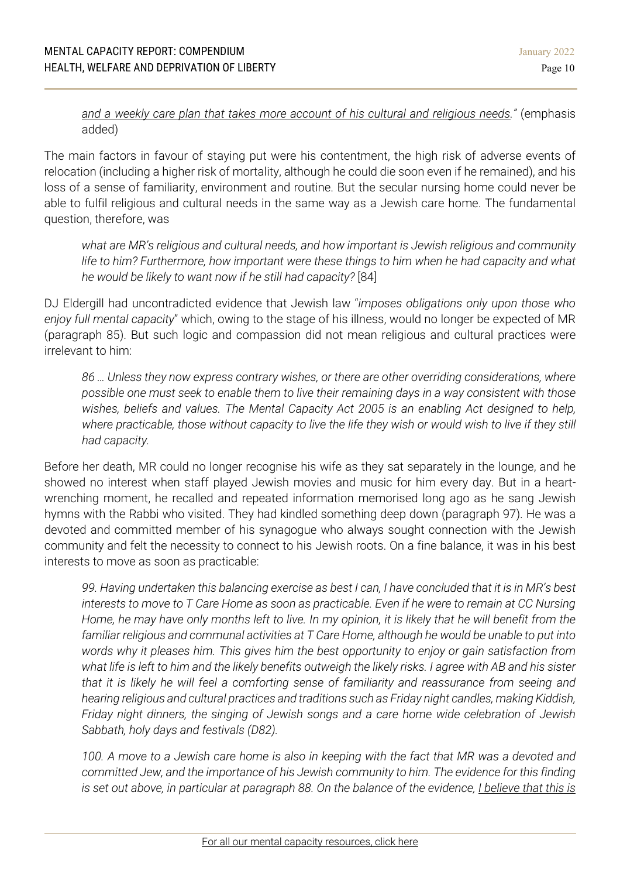## *and a weekly care plan that takes more account of his cultural and religious needs."* (emphasis added)

The main factors in favour of staying put were his contentment, the high risk of adverse events of relocation (including a higher risk of mortality, although he could die soon even if he remained), and his loss of a sense of familiarity, environment and routine. But the secular nursing home could never be able to fulfil religious and cultural needs in the same way as a Jewish care home. The fundamental question, therefore, was

*what are MR's religious and cultural needs, and how important is Jewish religious and community life to him? Furthermore, how important were these things to him when he had capacity and what he would be likely to want now if he still had capacity?* [84]

DJ Eldergill had uncontradicted evidence that Jewish law "*imposes obligations only upon those who enjoy full mental capacity*" which, owing to the stage of his illness, would no longer be expected of MR (paragraph 85). But such logic and compassion did not mean religious and cultural practices were irrelevant to him:

*86 … Unless they now express contrary wishes, or there are other overriding considerations, where possible one must seek to enable them to live their remaining days in a way consistent with those wishes, beliefs and values. The Mental Capacity Act 2005 is an enabling Act designed to help,* where practicable, those without capacity to live the life they wish or would wish to live if they still *had capacity.*

Before her death, MR could no longer recognise his wife as they sat separately in the lounge, and he showed no interest when staff played Jewish movies and music for him every day. But in a heartwrenching moment, he recalled and repeated information memorised long ago as he sang Jewish hymns with the Rabbi who visited. They had kindled something deep down (paragraph 97). He was a devoted and committed member of his synagogue who always sought connection with the Jewish community and felt the necessity to connect to his Jewish roots. On a fine balance, it was in his best interests to move as soon as practicable:

99. Having undertaken this balancing exercise as best I can, I have concluded that it is in MR's best interests to move to T Care Home as soon as practicable. Even if he were to remain at CC Nursing Home, he may have only months left to live. In my opinion, it is likely that he will benefit from the *familiar religious and communal activities at T Care Home, although he would be unable to put into words why it pleases him. This gives him the best opportunity to enjoy or gain satisfaction from* what life is left to him and the likely benefits outweigh the likely risks. I agree with AB and his sister *that it is likely he will feel a comforting sense of familiarity and reassurance from seeing and hearing religious and cultural practices and traditions such as Friday night candles, making Kiddish, Friday night dinners, the singing of Jewish songs and a care home wide celebration of Jewish Sabbath, holy days and festivals (D82).*

100. A move to a Jewish care home is also in keeping with the fact that MR was a devoted and *committed Jew, and the importance of his Jewish community to him. The evidence for this finding* is set out above, in particular at paragraph 88. On the balance of the evidence, I believe that this is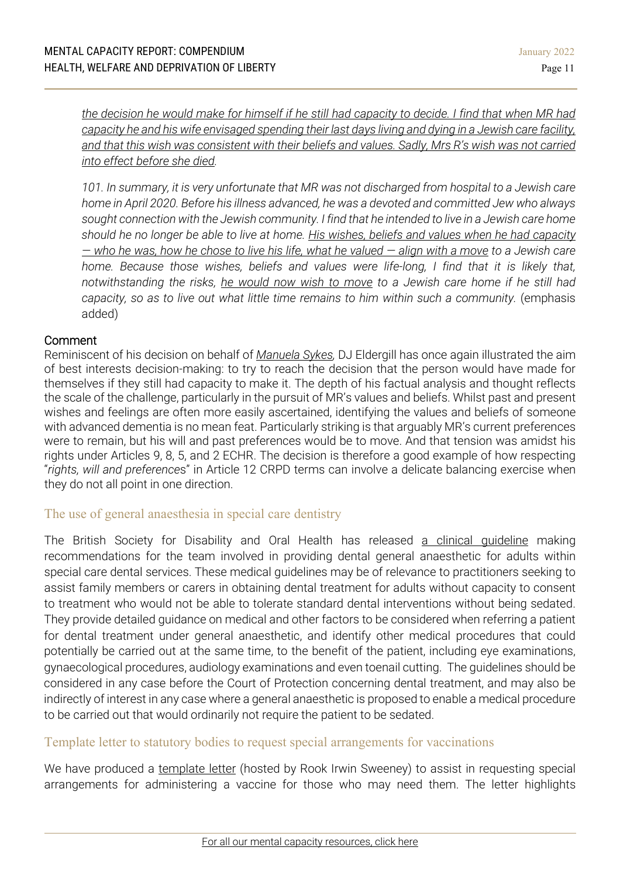the decision he would make for himself if he still had capacity to decide. I find that when MR had capacity he and his wife envisaged spending their last days living and dying in a Jewish care facility. and that this wish was consistent with their beliefs and values. Sadly, Mrs R's wish was not carried *into effect before she died.*

*101. In summary, it is very unfortunate that MR was not discharged from hospital to a Jewish care home in April 2020. Before his illness advanced, he was a devoted and committed Jew who always sought connection with the Jewish community. I find that he intended to live in a Jewish care home* should he no longer be able to live at home. His wishes, beliefs and values when he had capacity  $-$  who he was, how he chose to live his life, what he valued  $-$  align with a move to a Jewish care *home. Because those wishes, beliefs and values were life-long, I find that it is likely that, notwithstanding the risks, he would now wish to move to a Jewish care home if he still had capacity, so as to live out what little time remains to him within such a community.* (emphasis added)

## Comment

Reminiscent of his decision on behalf of *[Manuela](https://www.39essex.com/cop_cases/westminster-city-council-v-manuela-sykes/) Sykes,* DJ Eldergill has once again illustrated the aim of best interests decision-making: to try to reach the decision that the person would have made for themselves if they still had capacity to make it. The depth of his factual analysis and thought reflects the scale of the challenge, particularly in the pursuit of MR's values and beliefs. Whilst past and present wishes and feelings are often more easily ascertained, identifying the values and beliefs of someone with advanced dementia is no mean feat. Particularly striking is that arguably MR's current preferences were to remain, but his will and past preferences would be to move. And that tension was amidst his rights under Articles 9, 8, 5, and 2 ECHR. The decision is therefore a good example of how respecting "*rights, will and preference*s" in Article 12 CRPD terms can involve a delicate balancing exercise when they do not all point in one direction.

# The use of general anaesthesia in special care dentistry

The British Society for Disability and Oral Health has released a clinical [guideline](https://onlinelibrary.wiley.com/doi/10.1111/scd.12652?af=R) making recommendations for the team involved in providing dental general anaesthetic for adults within special care dental services. These medical guidelines may be of relevance to practitioners seeking to assist family members or carers in obtaining dental treatment for adults without capacity to consent to treatment who would not be able to tolerate standard dental interventions without being sedated. They provide detailed guidance on medical and other factors to be considered when referring a patient for dental treatment under general anaesthetic, and identify other medical procedures that could potentially be carried out at the same time, to the benefit of the patient, including eye examinations, gynaecological procedures, audiology examinations and even toenail cutting. The guidelines should be considered in any case before the Court of Protection concerning dental treatment, and may also be indirectly of interest in any case where a general anaesthetic is proposed to enable a medical procedure to be carried out that would ordinarily not require the patient to be sedated.

# Template letter to statutory bodies to request special arrangements for vaccinations

We have produced a [template](https://rookirwinsweeney.co.uk/vaccination-for-people-who-need-special-arrangements/) letter (hosted by Rook Irwin Sweeney) to assist in requesting special arrangements for administering a vaccine for those who may need them. The letter highlights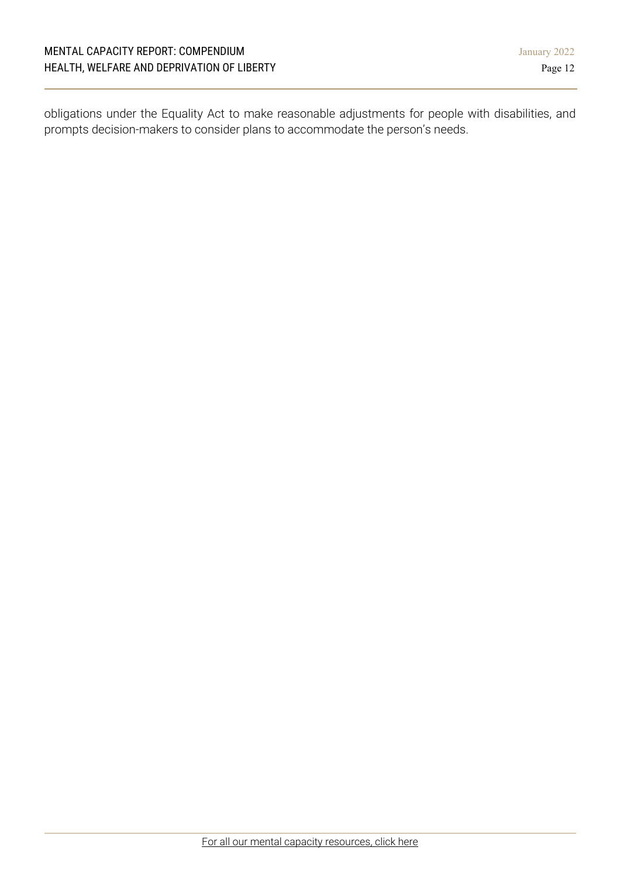obligations under the Equality Act to make reasonable adjustments for people with disabilities, and prompts decision-makers to consider plans to accommodate the person's needs.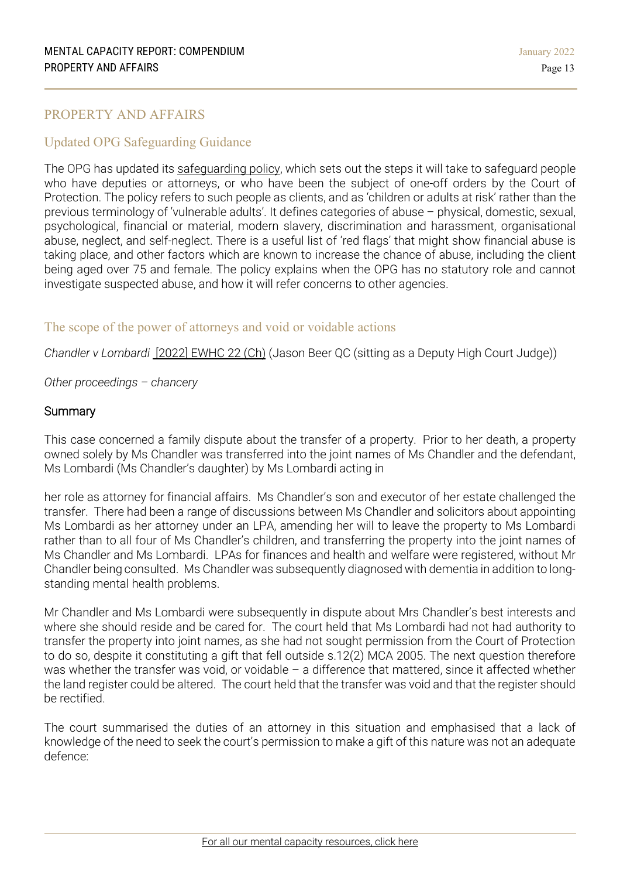## <span id="page-12-0"></span>PROPERTY AND AFFAIRS

## Updated OPG Safeguarding Guidance

The OPG has updated its [safeguarding](https://www.gov.uk/government/publications/safeguarding-policy-protecting-vulnerable-adults/sd8-opgs-safeguarding-policy) policy, which sets out the steps it will take to safeguard people who have deputies or attorneys, or who have been the subject of one-off orders by the Court of Protection. The policy refers to such people as clients, and as 'children or adults at risk' rather than the previous terminology of 'vulnerable adults'. It defines categories of abuse – physical, domestic, sexual, psychological, financial or material, modern slavery, discrimination and harassment, organisational abuse, neglect, and self-neglect. There is a useful list of 'red flags' that might show financial abuse is taking place, and other factors which are known to increase the chance of abuse, including the client being aged over 75 and female. The policy explains when the OPG has no statutory role and cannot investigate suspected abuse, and how it will refer concerns to other agencies.

## The scope of the power of attorneys and void or voidable actions

*Chandler v Lombardi* [2022] [EWHC](https://www.bailii.org/ew/cases/EWHC/Ch/2022/22.html) 22 (Ch) (Jason Beer QC (sitting as a Deputy High Court Judge))

*Other proceedings – chancery*

#### **Summary**

This case concerned a family dispute about the transfer of a property. Prior to her death, a property owned solely by Ms Chandler was transferred into the joint names of Ms Chandler and the defendant, Ms Lombardi (Ms Chandler's daughter) by Ms Lombardi acting in

her role as attorney for financial affairs. Ms Chandler's son and executor of her estate challenged the transfer. There had been a range of discussions between Ms Chandler and solicitors about appointing Ms Lombardi as her attorney under an LPA, amending her will to leave the property to Ms Lombardi rather than to all four of Ms Chandler's children, and transferring the property into the joint names of Ms Chandler and Ms Lombardi. LPAs for finances and health and welfare were registered, without Mr Chandler being consulted. Ms Chandler was subsequently diagnosed with dementia in addition to longstanding mental health problems.

Mr Chandler and Ms Lombardi were subsequently in dispute about Mrs Chandler's best interests and where she should reside and be cared for. The court held that Ms Lombardi had not had authority to transfer the property into joint names, as she had not sought permission from the Court of Protection to do so, despite it constituting a gift that fell outside s.12(2) MCA 2005. The next question therefore was whether the transfer was void, or voidable – a difference that mattered, since it affected whether the land register could be altered. The court held that the transfer was void and that the register should be rectified.

The court summarised the duties of an attorney in this situation and emphasised that a lack of knowledge of the need to seek the court's permission to make a gift of this nature was not an adequate defence: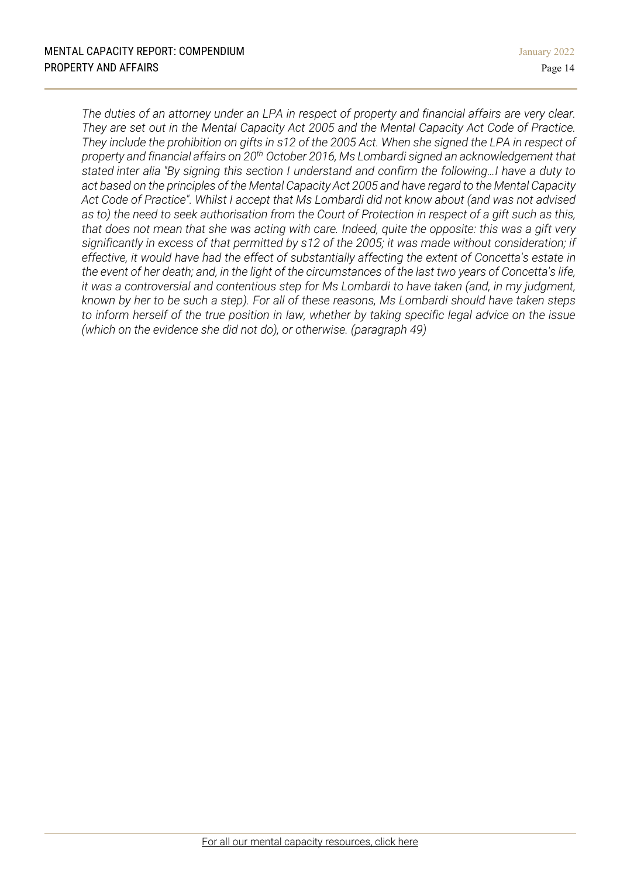The duties of an attorney under an LPA in respect of property and financial affairs are very clear. *They are set out in the Mental Capacity Act 2005 and the Mental Capacity Act Code of Practice.* They include the prohibition on gifts in s12 of the 2005 Act. When she signed the LPA in respect of *property and financial affairs on 20th October 2016, Ms Lombardi signed an acknowledgement that stated inter alia "By signing this section I understand and confirm the following…I have a duty to act based on the principles of the Mental Capacity Act 2005 and have regard to the Mental Capacity Act Code of Practice". Whilst I accept that Ms Lombardi did not know about (and was not advised* as to) the need to seek authorisation from the Court of Protection in respect of a gift such as this, that does not mean that she was acting with care. Indeed, quite the opposite: this was a gift very *significantly in excess of that permitted by s12 of the 2005; it was made without consideration; if effective, it would have had the effect of substantially affecting the extent of Concetta's estate in* the event of her death; and, in the light of the circumstances of the last two years of Concetta's life, *it was a controversial and contentious step for Ms Lombardi to have taken (and, in my judgment,* known by her to be such a step). For all of these reasons, Ms Lombardi should have taken steps to inform herself of the true position in law, whether by taking specific legal advice on the issue *(which on the evidence she did not do), or otherwise. (paragraph 49)*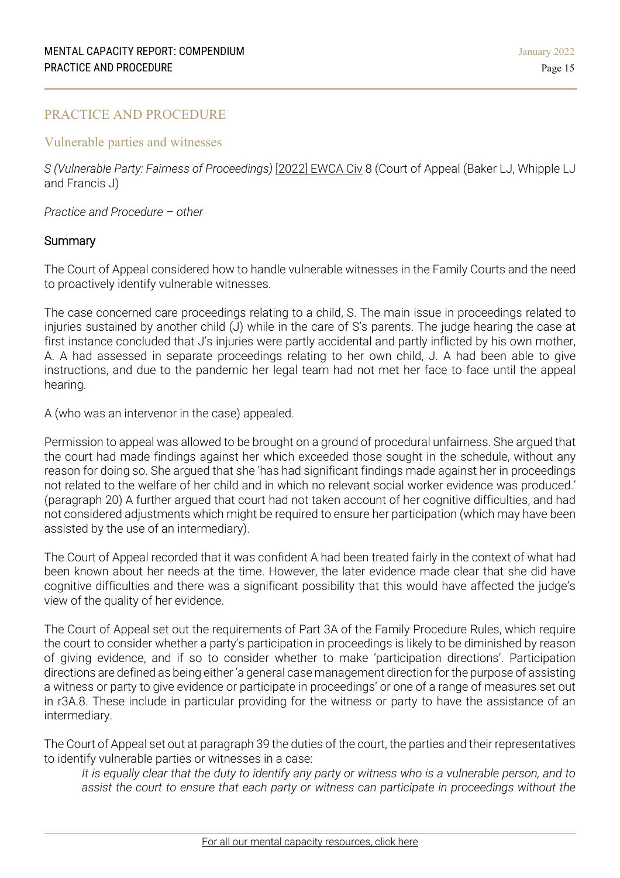## <span id="page-14-0"></span>PRACTICE AND PROCEDURE

#### Vulnerable parties and witnesses

*S (Vulnerable Party: Fairness of Proceedings)* [2022] [EWCA](https://www.bailii.org/ew/cases/EWCA/Civ/2022/8.html) Civ 8 (Court of Appeal (Baker LJ, Whipple LJ and Francis J)

*Practice and Procedure – other*

## **Summary**

The Court of Appeal considered how to handle vulnerable witnesses in the Family Courts and the need to proactively identify vulnerable witnesses.

The case concerned care proceedings relating to a child, S. The main issue in proceedings related to injuries sustained by another child (J) while in the care of S's parents. The judge hearing the case at first instance concluded that J's injuries were partly accidental and partly inflicted by his own mother, A. A had assessed in separate proceedings relating to her own child, J. A had been able to give instructions, and due to the pandemic her legal team had not met her face to face until the appeal hearing.

A (who was an intervenor in the case) appealed.

Permission to appeal was allowed to be brought on a ground of procedural unfairness. She argued that the court had made findings against her which exceeded those sought in the schedule, without any reason for doing so. She argued that she 'has had significant findings made against her in proceedings not related to the welfare of her child and in which no relevant social worker evidence was produced.' (paragraph 20) A further argued that court had not taken account of her cognitive difficulties, and had not considered adjustments which might be required to ensure her participation (which may have been assisted by the use of an intermediary).

The Court of Appeal recorded that it was confident A had been treated fairly in the context of what had been known about her needs at the time. However, the later evidence made clear that she did have cognitive difficulties and there was a significant possibility that this would have affected the judge's view of the quality of her evidence.

The Court of Appeal set out the requirements of Part 3A of the Family Procedure Rules, which require the court to consider whether a party's participation in proceedings is likely to be diminished by reason of giving evidence, and if so to consider whether to make 'participation directions'. Participation directions are defined as being either 'a general case management direction for the purpose of assisting a witness or party to give evidence or participate in proceedings' or one of a range of measures set out in r3A.8. These include in particular providing for the witness or party to have the assistance of an intermediary.

The Court of Appeal set out at paragraph 39 the duties of the court, the parties and their representatives to identify vulnerable parties or witnesses in a case:

It is equally clear that the duty to identify any party or witness who is a vulnerable person, and to *assist the court to ensure that each party or witness can participate in proceedings without the*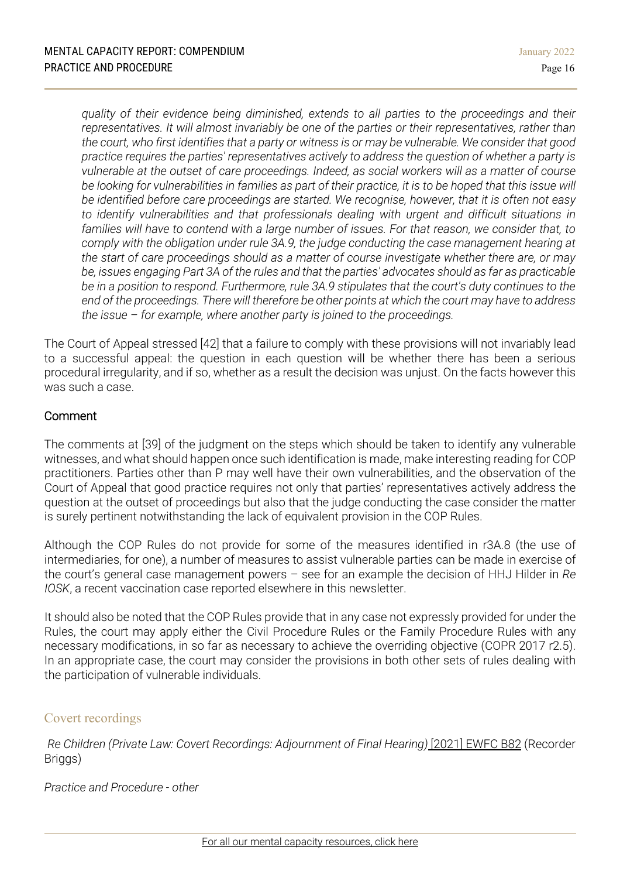*quality of their evidence being diminished, extends to all parties to the proceedings and their representatives. It will almost invariably be one of the parties or their representatives, rather than* the court, who first identifies that a party or witness is or may be vulnerable. We consider that good *practice requires the parties' representatives actively to address the question of whether a party is vulnerable at the outset of care proceedings. Indeed, as social workers will as a matter of course* be looking for vulnerabilities in families as part of their practice, it is to be hoped that this issue will *be identified before care proceedings are started. We recognise, however, that it is often not easy to identify vulnerabilities and that professionals dealing with urgent and difficult situations in families will have to contend with a large number of issues. For that reason, we consider that, to comply with the obligation under rule 3A.9, the judge conducting the case management hearing at the start of care proceedings should as a matter of course investigate whether there are, or may* be, issues engaging Part 3A of the rules and that the parties' advocates should as far as practicable *be in a position to respond. Furthermore, rule 3A.9 stipulates that the court's duty continues to the* end of the proceedings. There will therefore be other points at which the court may have to address *the issue – for example, where another party is joined to the proceedings.*

The Court of Appeal stressed [42] that a failure to comply with these provisions will not invariably lead to a successful appeal: the question in each question will be whether there has been a serious procedural irregularity, and if so, whether as a result the decision was unjust. On the facts however this was such a case.

# Comment

The comments at [39] of the judgment on the steps which should be taken to identify any vulnerable witnesses, and what should happen once such identification is made, make interesting reading for COP practitioners. Parties other than P may well have their own vulnerabilities, and the observation of the Court of Appeal that good practice requires not only that parties' representatives actively address the question at the outset of proceedings but also that the judge conducting the case consider the matter is surely pertinent notwithstanding the lack of equivalent provision in the COP Rules.

Although the COP Rules do not provide for some of the measures identified in r3A.8 (the use of intermediaries, for one), a number of measures to assist vulnerable parties can be made in exercise of the court's general case management powers – see for an example the decision of HHJ Hilder in *Re IOSK*, a recent vaccination case reported elsewhere in this newsletter.

It should also be noted that the COP Rules provide that in any case not expressly provided for under the Rules, the court may apply either the Civil Procedure Rules or the Family Procedure Rules with any necessary modifications, in so far as necessary to achieve the overriding objective (COPR 2017 r2.5). In an appropriate case, the court may consider the provisions in both other sets of rules dealing with the participation of vulnerable individuals.

# Covert recordings

*Re Children (Private Law: Covert Recordings: [Adjournment](https://www.bailii.org/cgi-bin/format.cgi?doc=/ew/cases/EWFC/OJ/2021/B82.html) of Final Hearing)* [2021] EWFC [B82](https://www.bailii.org/cgi-bin/format.cgi?doc=/ew/cases/EWFC/OJ/2021/B82.html) (Recorder Briggs)

*Practice and Procedure - other*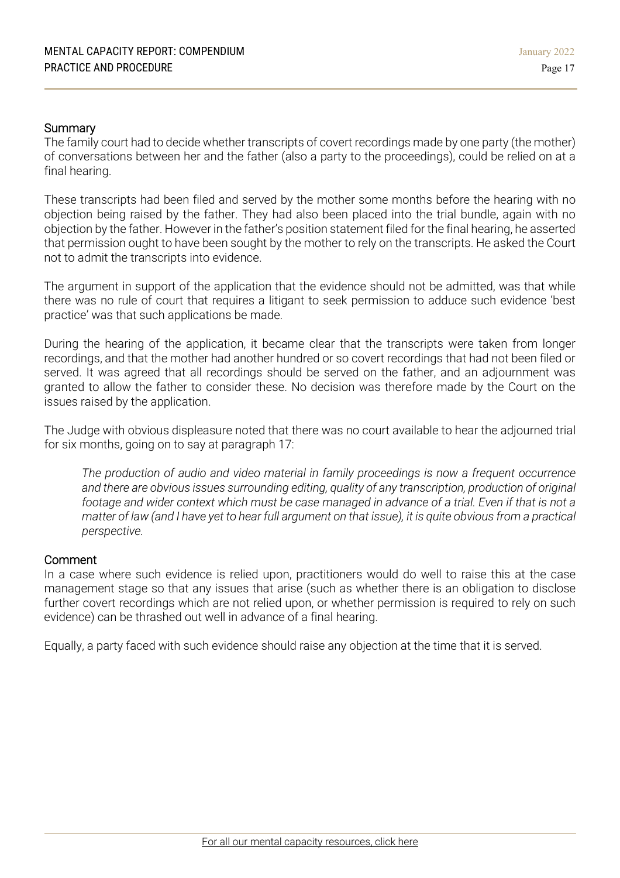## **Summary**

The family court had to decide whether transcripts of covert recordings made by one party (the mother) of conversations between her and the father (also a party to the proceedings), could be relied on at a final hearing.

These transcripts had been filed and served by the mother some months before the hearing with no objection being raised by the father. They had also been placed into the trial bundle, again with no objection by the father. However in the father's position statement filed for the final hearing, he asserted that permission ought to have been sought by the mother to rely on the transcripts. He asked the Court not to admit the transcripts into evidence.

The argument in support of the application that the evidence should not be admitted, was that while there was no rule of court that requires a litigant to seek permission to adduce such evidence 'best practice' was that such applications be made.

During the hearing of the application, it became clear that the transcripts were taken from longer recordings, and that the mother had another hundred or so covert recordings that had not been filed or served. It was agreed that all recordings should be served on the father, and an adjournment was granted to allow the father to consider these. No decision was therefore made by the Court on the issues raised by the application.

The Judge with obvious displeasure noted that there was no court available to hear the adjourned trial for six months, going on to say at paragraph 17:

*The production of audio and video material in family proceedings is now a frequent occurrence and there are obvious issues surrounding editing, quality of any transcription, production of original* footage and wider context which must be case managed in advance of a trial. Even if that is not a matter of law (and I have yet to hear full argument on that issue), it is quite obvious from a practical *perspective.*

## Comment

In a case where such evidence is relied upon, practitioners would do well to raise this at the case management stage so that any issues that arise (such as whether there is an obligation to disclose further covert recordings which are not relied upon, or whether permission is required to rely on such evidence) can be thrashed out well in advance of a final hearing.

Equally, a party faced with such evidence should raise any objection at the time that it is served.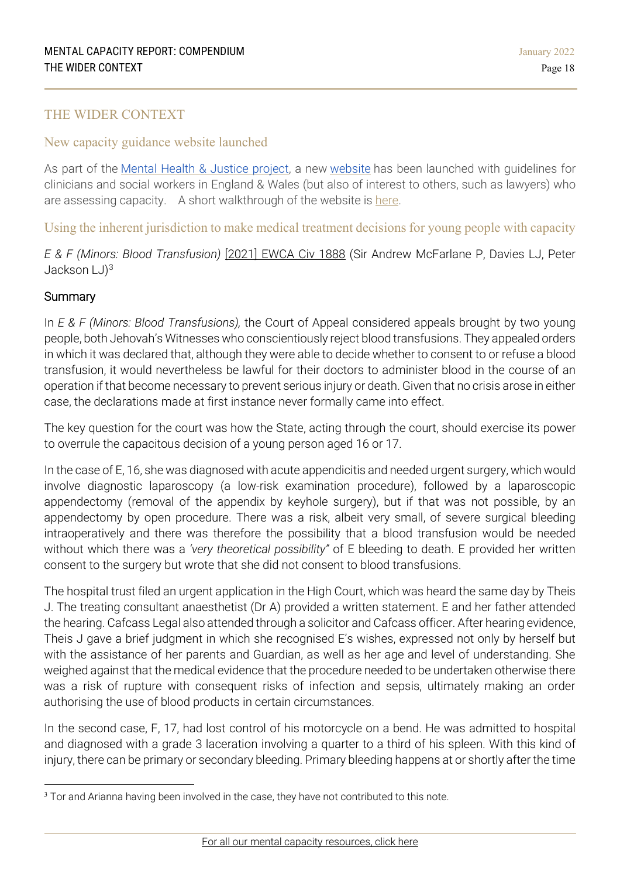## <span id="page-17-0"></span>THE WIDER CONTEXT

## New capacity guidance website launched

As part of the Mental Health & Justice [project,](https://mhj.org.uk/) a new [website](https://capacityguide.org.uk/) has been launched with guidelines for clinicians and social workers in England & Wales (but also of interest to others, such as lawyers) who are assessing capacity. A short walkthrough of the website is [here.](https://www.mentalcapacitylawandpolicy.org.uk/new-capacity-guidance-website-launched/)

Using the inherent jurisdiction to make medical treatment decisions for young people with capacity

*E & F (Minors: Blood Transfusion)* [2021] [EWCA](https://www.bailii.org/cgi-bin/format.cgi?doc=/ew/cases/EWCA/Civ/2021/1888.html) Civ 1888 (Sir Andrew McFarlane P, Davies LJ, Peter Jackson  $LJ$ <sup>[3](#page-17-1)</sup>

## **Summary**

In *E & F (Minors: Blood Transfusions),* the Court of Appeal considered appeals brought by two young people, both Jehovah's Witnesses who conscientiously reject blood transfusions. They appealed orders in which it was declared that, although they were able to decide whether to consent to or refuse a blood transfusion, it would nevertheless be lawful for their doctors to administer blood in the course of an operation if that become necessary to prevent serious injury or death. Given that no crisis arose in either case, the declarations made at first instance never formally came into effect.

The key question for the court was how the State, acting through the court, should exercise its power to overrule the capacitous decision of a young person aged 16 or 17.

In the case of E, 16, she was diagnosed with acute appendicitis and needed urgent surgery, which would involve diagnostic laparoscopy (a low-risk examination procedure), followed by a laparoscopic appendectomy (removal of the appendix by keyhole surgery), but if that was not possible, by an appendectomy by open procedure. There was a risk, albeit very small, of severe surgical bleeding intraoperatively and there was therefore the possibility that a blood transfusion would be needed without which there was a *'very theoretical possibility"* of E bleeding to death. E provided her written consent to the surgery but wrote that she did not consent to blood transfusions.

The hospital trust filed an urgent application in the High Court, which was heard the same day by Theis J. The treating consultant anaesthetist (Dr A) provided a written statement. E and her father attended the hearing. Cafcass Legal also attended through a solicitor and Cafcass officer. After hearing evidence, Theis J gave a brief judgment in which she recognised E's wishes, expressed not only by herself but with the assistance of her parents and Guardian, as well as her age and level of understanding. She weighed against that the medical evidence that the procedure needed to be undertaken otherwise there was a risk of rupture with consequent risks of infection and sepsis, ultimately making an order authorising the use of blood products in certain circumstances.

In the second case, F, 17, had lost control of his motorcycle on a bend. He was admitted to hospital and diagnosed with a grade 3 laceration involving a quarter to a third of his spleen. With this kind of injury, there can be primary or secondary bleeding. Primary bleeding happens at or shortly after the time

<span id="page-17-1"></span><sup>&</sup>lt;sup>3</sup> Tor and Arianna having been involved in the case, they have not contributed to this note.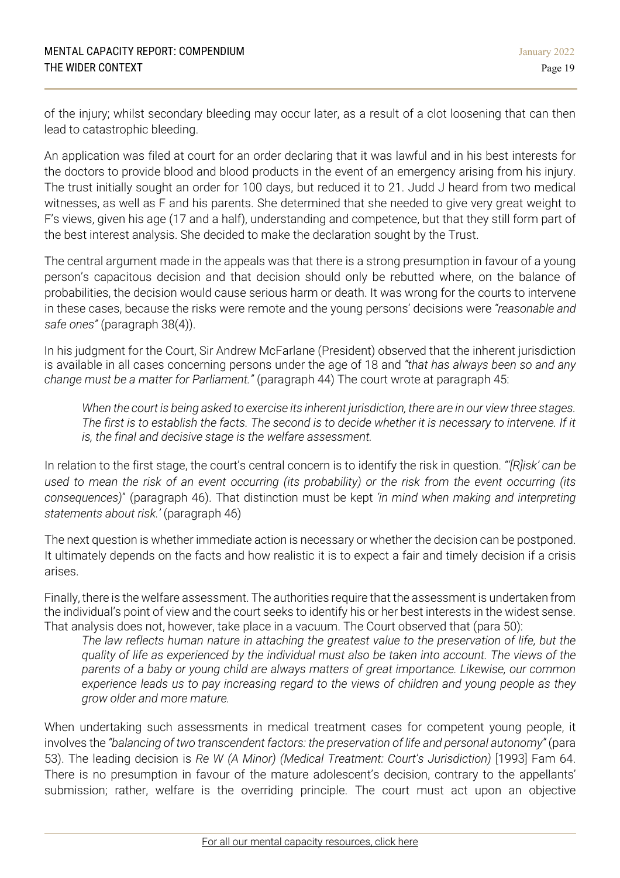of the injury; whilst secondary bleeding may occur later, as a result of a clot loosening that can then lead to catastrophic bleeding.

An application was filed at court for an order declaring that it was lawful and in his best interests for the doctors to provide blood and blood products in the event of an emergency arising from his injury. The trust initially sought an order for 100 days, but reduced it to 21. Judd J heard from two medical witnesses, as well as F and his parents. She determined that she needed to give very great weight to F's views, given his age (17 and a half), understanding and competence, but that they still form part of the best interest analysis. She decided to make the declaration sought by the Trust.

The central argument made in the appeals was that there is a strong presumption in favour of a young person's capacitous decision and that decision should only be rebutted where, on the balance of probabilities, the decision would cause serious harm or death. It was wrong for the courts to intervene in these cases, because the risks were remote and the young persons' decisions were *"reasonable and safe ones"* (paragraph 38(4)).

In his judgment for the Court, Sir Andrew McFarlane (President) observed that the inherent jurisdiction is available in all cases concerning persons under the age of 18 and *"that has always been so and any change must be a matter for Parliament."* (paragraph 44) The court wrote at paragraph 45:

When the court is being asked to exercise its inherent jurisdiction, there are in our view three stages. The first is to establish the facts. The second is to decide whether it is necessary to intervene. If it *is, the final and decisive stage is the welfare assessment.*

In relation to the first stage, the court's central concern is to identify the risk in question. *"'[R]isk' can be* used to mean the risk of an event occurring (its probability) or the risk from the event occurring (its *consequences)*" (paragraph 46). That distinction must be kept *'in mind when making and interpreting statements about risk.'* (paragraph 46)

The next question is whether immediate action is necessary or whether the decision can be postponed. It ultimately depends on the facts and how realistic it is to expect a fair and timely decision if a crisis arises.

Finally, there is the welfare assessment. The authorities require that the assessment is undertaken from the individual's point of view and the court seeks to identify his or her best interests in the widest sense. That analysis does not, however, take place in a vacuum. The Court observed that (para 50):

*The law reflects human nature in attaching the greatest value to the preservation of life, but the quality of life as experienced by the individual must also be taken into account. The views of the parents of a baby or young child are always matters of great importance. Likewise, our common experience leads us to pay increasing regard to the views of children and young people as they grow older and more mature.*

When undertaking such assessments in medical treatment cases for competent young people, it involves the *"balancing of two transcendent factors: the preservation of life and personal autonomy"* (para 53). The leading decision is *Re W (A Minor) (Medical Treatment: Court's Jurisdiction)* [1993] Fam 64. There is no presumption in favour of the mature adolescent's decision, contrary to the appellants' submission; rather, welfare is the overriding principle. The court must act upon an objective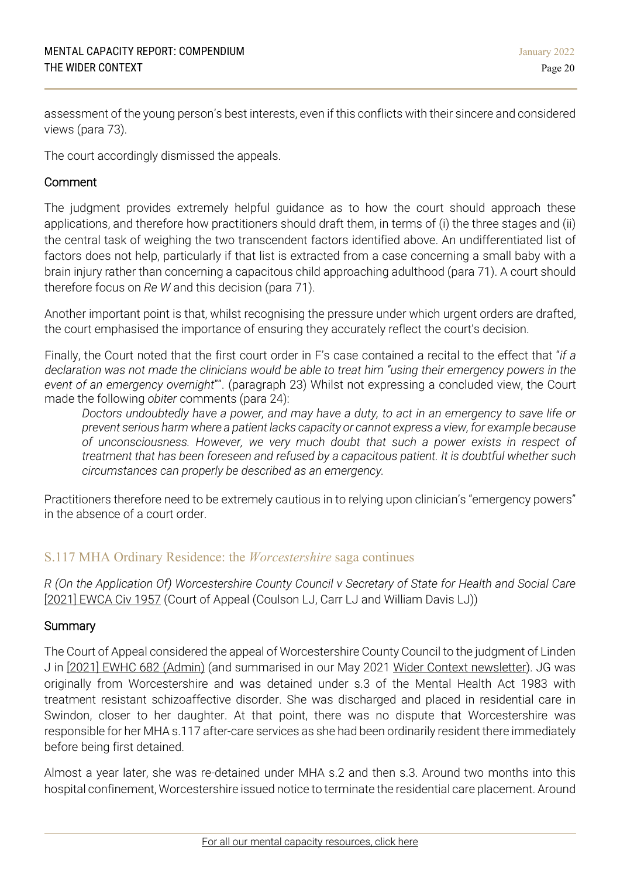assessment of the young person's best interests, even if this conflicts with their sincere and considered views (para 73).

The court accordingly dismissed the appeals.

## Comment

The judgment provides extremely helpful guidance as to how the court should approach these applications, and therefore how practitioners should draft them, in terms of (i) the three stages and (ii) the central task of weighing the two transcendent factors identified above. An undifferentiated list of factors does not help, particularly if that list is extracted from a case concerning a small baby with a brain injury rather than concerning a capacitous child approaching adulthood (para 71). A court should therefore focus on *Re W* and this decision (para 71).

Another important point is that, whilst recognising the pressure under which urgent orders are drafted, the court emphasised the importance of ensuring they accurately reflect the court's decision.

Finally, the Court noted that the first court order in F's case contained a recital to the effect that "*if a* declaration was not made the clinicians would be able to treat him "using their emergency powers in the *event of an emergency overnight*"". (paragraph 23) Whilst not expressing a concluded view, the Court made the following *obiter* comments (para 24):

Doctors undoubtedly have a power, and may have a duty, to act in an emergency to save life or *prevent serious harm where a patient lacks capacity or cannot express a view, for example because of unconsciousness. However, we very much doubt that such a power exists in respect of treatment that has been foreseen and refused by a capacitous patient. It is doubtful whether such circumstances can properly be described as an emergency.*

Practitioners therefore need to be extremely cautious in to relying upon clinician's "emergency powers" in the absence of a court order.

# S.117 MHA Ordinary Residence: the *Worcestershire* saga continues

*R (On the Application Of) Worcestershire County Council v Secretary of State for Health and Social Care* [2021] [EWCA](https://www.bailii.org/ew/cases/EWCA/Civ/2021/1957.html) Civ 1957 (Court of Appeal (Coulson LJ, Carr LJ and William Davis LJ))

## **Summary**

The Court of Appeal considered the appeal of Worcestershire County Council to the judgment of Linden J in [2021] EWHC 682 [\(Admin\)](https://www.bailii.org/ew/cases/EWHC/Admin/2021/682.html) (and summarised in our May 2021 Wider Context [newsletter\)](https://1f2ca7mxjow42e65q49871m1-wpengine.netdna-ssl.com/wp-content/uploads/2021/05/Mental-Capacity-Report-May-2021-The-Wider-Context.pdf). JG was originally from Worcestershire and was detained under s.3 of the Mental Health Act 1983 with treatment resistant schizoaffective disorder. She was discharged and placed in residential care in Swindon, closer to her daughter. At that point, there was no dispute that Worcestershire was responsible for her MHA s.117 after-care services as she had been ordinarily resident there immediately before being first detained.

Almost a year later, she was re-detained under MHA s.2 and then s.3. Around two months into this hospital confinement, Worcestershire issued notice to terminate the residential care placement. Around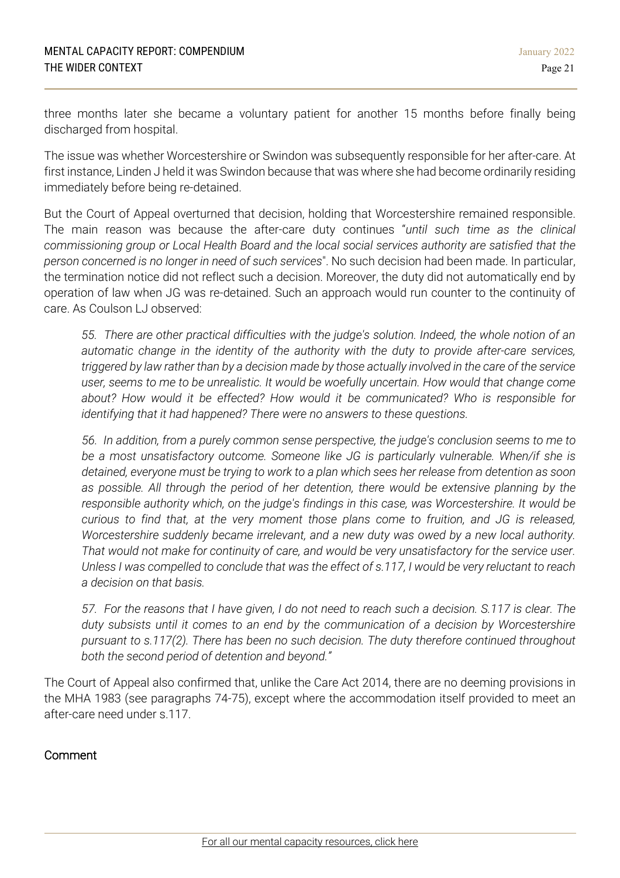three months later she became a voluntary patient for another 15 months before finally being discharged from hospital.

The issue was whether Worcestershire or Swindon was subsequently responsible for her after-care. At first instance, Linden J held it was Swindon because that was where she had become ordinarily residing immediately before being re-detained.

But the Court of Appeal overturned that decision, holding that Worcestershire remained responsible. The main reason was because the after-care duty continues "*until such time as the clinical commissioning group or Local Health Board and the local social services authority are satisfied that the person concerned is no longer in need of such services*". No such decision had been made. In particular, the termination notice did not reflect such a decision. Moreover, the duty did not automatically end by operation of law when JG was re-detained. Such an approach would run counter to the continuity of care. As Coulson LJ observed:

*55. There are other practical difficulties with the judge's solution. Indeed, the whole notion of an automatic change in the identity of the authority with the duty to provide after-care services,* triggered by law rather than by a decision made by those actually involved in the care of the service *user, seems to me to be unrealistic. It would be woefully uncertain. How would that change come about? How would it be effected? How would it be communicated? Who is responsible for identifying that it had happened? There were no answers to these questions.*

*56. In addition, from a purely common sense perspective, the judge's conclusion seems to me to be a most unsatisfactory outcome. Someone like JG is particularly vulnerable. When/if she is detained, everyone must be trying to work to a plan which sees her release from detention as soon as possible. All through the period of her detention, there would be extensive planning by the responsible authority which, on the judge's findings in this case, was Worcestershire. It would be curious to find that, at the very moment those plans come to fruition, and JG is released, Worcestershire suddenly became irrelevant, and a new duty was owed by a new local authority. That would not make for continuity of care, and would be very unsatisfactory for the service user.* Unless I was compelled to conclude that was the effect of s.117, I would be very reluctant to reach *a decision on that basis.*

57. For the reasons that I have given, I do not need to reach such a decision. S.117 is clear. The *duty subsists until it comes to an end by the communication of a decision by Worcestershire pursuant to s.117(2). There has been no such decision. The duty therefore continued throughout both the second period of detention and beyond."*

The Court of Appeal also confirmed that, unlike the Care Act 2014, there are no deeming provisions in the MHA 1983 (see paragraphs 74-75), except where the accommodation itself provided to meet an after-care need under s.117.

# Comment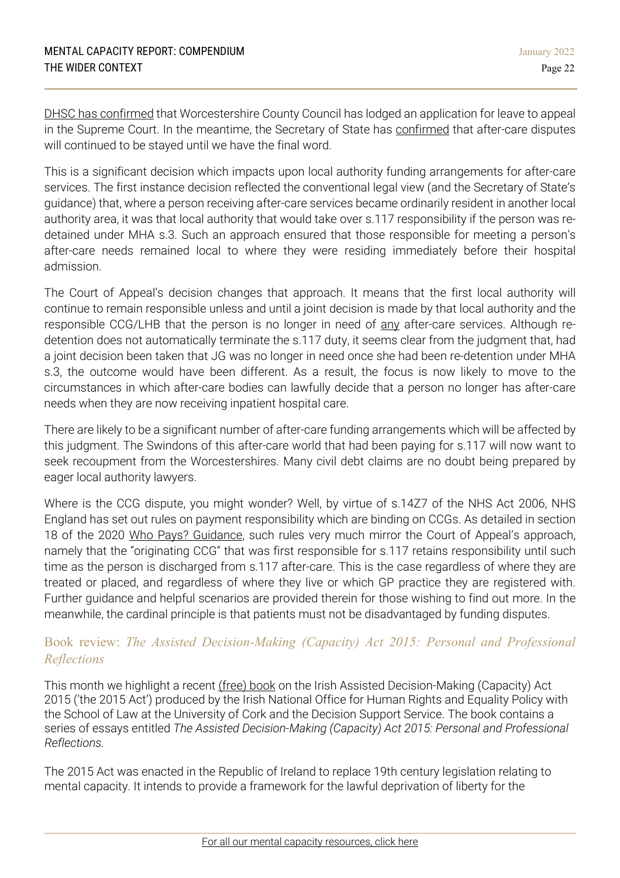DHSC has [confirmed](https://www.gov.uk/government/publications/care-act-statutory-guidance/dhscs-position-on-the-determination-of-ordinary-residence-disputes-pending-the-outcome-of-r-worcestershire-county-council-v-secretary-of-state-for) that Worcestershire County Council has lodged an application for leave to appeal in the Supreme Court. In the meantime, the Secretary of State has [confirmed](https://www.gov.uk/government/publications/care-act-statutory-guidance/dhscs-position-on-the-determination-of-ordinary-residence-disputes-pending-the-outcome-of-r-worcestershire-county-council-v-secretary-of-state-for) that after-care disputes will continued to be stayed until we have the final word.

This is a significant decision which impacts upon local authority funding arrangements for after-care services. The first instance decision reflected the conventional legal view (and the Secretary of State's guidance) that, where a person receiving after-care services became ordinarily resident in another local authority area, it was that local authority that would take over s.117 responsibility if the person was redetained under MHA s.3. Such an approach ensured that those responsible for meeting a person's after-care needs remained local to where they were residing immediately before their hospital admission.

The Court of Appeal's decision changes that approach. It means that the first local authority will continue to remain responsible unless and until a joint decision is made by that local authority and the responsible CCG/LHB that the person is no longer in need of any after-care services. Although redetention does not automatically terminate the s.117 duty, it seems clear from the judgment that, had a joint decision been taken that JG was no longer in need once she had been re-detention under MHA s.3, the outcome would have been different. As a result, the focus is now likely to move to the circumstances in which after-care bodies can lawfully decide that a person no longer has after-care needs when they are now receiving inpatient hospital care.

There are likely to be a significant number of after-care funding arrangements which will be affected by this judgment. The Swindons of this after-care world that had been paying for s.117 will now want to seek recoupment from the Worcestershires. Many civil debt claims are no doubt being prepared by eager local authority lawyers.

Where is the CCG dispute, you might wonder? Well, by virtue of s.14Z7 of the NHS Act 2006, NHS England has set out rules on payment responsibility which are binding on CCGs. As detailed in section 18 of the 2020 Who Pays? [Guidance,](https://www.england.nhs.uk/wp-content/uploads/2020/08/Who-Pays-final-24082020-v2.pdf) such rules very much mirror the Court of Appeal's approach, namely that the "originating CCG" that was first responsible for s.117 retains responsibility until such time as the person is discharged from s.117 after-care. This is the case regardless of where they are treated or placed, and regardless of where they live or which GP practice they are registered with. Further guidance and helpful scenarios are provided therein for those wishing to find out more. In the meanwhile, the cardinal principle is that patients must not be disadvantaged by funding disputes.

# Book review: *The Assisted Decision-Making (Capacity) Act 2015: Personal and Professional Reflections*

This month we highlight a recent [\(free\)](https://www.hse.ie/eng/about/who/qid/other-quality-improvement-programmes/assisteddecisionmaking/admca-personal-and-professional-reflections.pdf) book on the Irish Assisted Decision-Making (Capacity) Act 2015 ('the 2015 Act') produced by the Irish National Office for Human Rights and Equality Policy with the School of Law at the University of Cork and the Decision Support Service. The book contains a series of essays entitled *The Assisted Decision-Making (Capacity) Act 2015: Personal and Professional Reflections.*

The 2015 Act was enacted in the Republic of Ireland to replace 19th century legislation relating to mental capacity. It intends to provide a framework for the lawful deprivation of liberty for the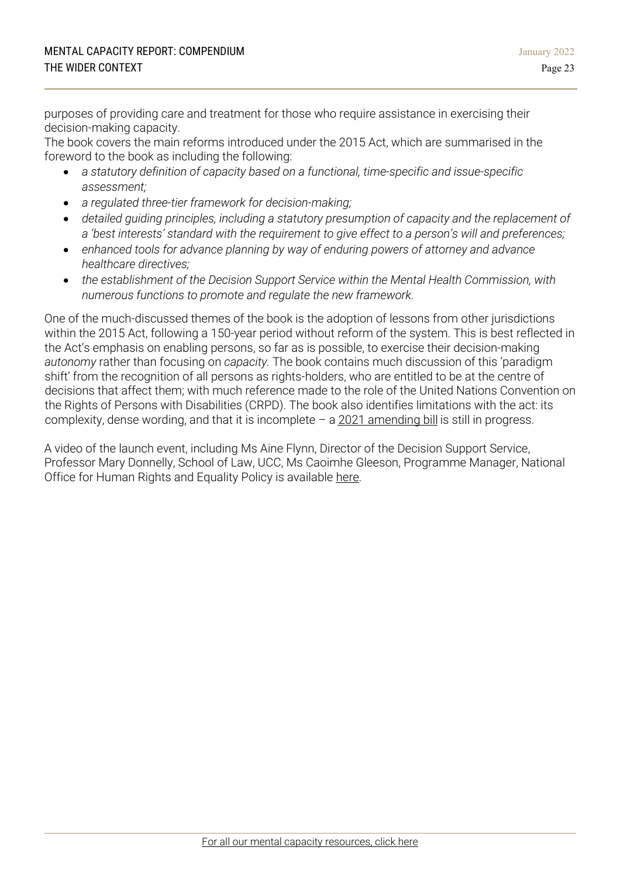purposes of providing care and treatment for those who require assistance in exercising their decision-making capacity.

The book covers the main reforms introduced under the 2015 Act, which are summarised in the foreword to the book as including the following:

- *a statutory definition of capacity based on a functional, time-specific and issue-specific assessment;*
- *a regulated three-tier framework for decision-making;*
- *detailed guiding principles, including a statutory presumption of capacity and the replacement of a 'best interests' standard with the requirement to give effect to a person's will and preferences;*
- *enhanced tools for advance planning by way of enduring powers of attorney and advance healthcare directives;*
- *the establishment of the Decision Support Service within the Mental Health Commission, with numerous functions to promote and regulate the new framework.*

One of the much-discussed themes of the book is the adoption of lessons from other jurisdictions within the 2015 Act, following a 150-year period without reform of the system. This is best reflected in the Act's emphasis on enabling persons, so far as is possible, to exercise their decision-making *autonomy* rather than focusing on *capacity.* The book contains much discussion of this 'paradigm shift' from the recognition of all persons as rights-holders, who are entitled to be at the centre of decisions that affect them; with much reference made to the role of the United Nations Convention on the Rights of Persons with Disabilities (CRPD). The book also identifies limitations with the act: its complexity, dense wording, and that it is incomplete  $-$  a  $2021$  [amending](https://www.gov.ie/en/press-release/b952e-cabinet-approves-general-scheme-of-the-assisted-decision-making-capacity-amendment-bill/) bill is still in progress.

A video of the launch event, including Ms Aine Flynn, Director of the Decision Support Service, Professor Mary Donnelly, School of Law, UCC, Ms Caoimhe Gleeson, Programme Manager, National Office for Human Rights and Equality Policy is available [here.](https://www.hse.ie/eng/about/who/qid/other-quality-improvement-programmes/assisteddecisionmaking/admca%20book%20launch%20on%20wednesday%203rd%20november%202021.html)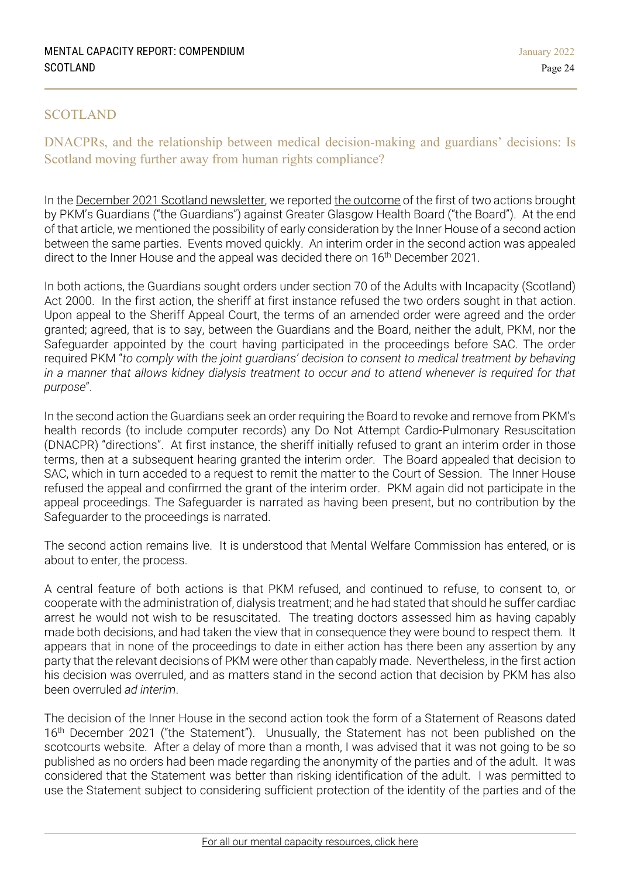## <span id="page-23-0"></span>SCOTLAND

DNACPRs, and the relationship between medical decision-making and guardians' decisions: Is Scotland moving further away from human rights compliance?

In the December 2021 Scotland [newsletter,](https://1f2ca7mxjow42e65q49871m1-wpengine.netdna-ssl.com/wp-content/uploads/2021/12/Mental-Capacity-Report-December-2021-Scotland.pdf) we reported the [outcome](https://www.scotcourts.gov.uk/docs/default-source/cos-general-docs/pdf-docs-for-opinions/2021-sac-(civ)-033.pdf?sfvrsn=558efa72_1) of the first of two actions brought by PKM's Guardians ("the Guardians") against Greater Glasgow Health Board ("the Board"). At the end of that article, we mentioned the possibility of early consideration by the Inner House of a second action between the same parties. Events moved quickly. An interim order in the second action was appealed direct to the Inner House and the appeal was decided there on 16<sup>th</sup> December 2021.

In both actions, the Guardians sought orders under section 70 of the Adults with Incapacity (Scotland) Act 2000. In the first action, the sheriff at first instance refused the two orders sought in that action. Upon appeal to the Sheriff Appeal Court, the terms of an amended order were agreed and the order granted; agreed, that is to say, between the Guardians and the Board, neither the adult, PKM, nor the Safeguarder appointed by the court having participated in the proceedings before SAC. The order required PKM "*to comply with the joint guardians' decision to consent to medical treatment by behaving* in a manner that allows kidney dialysis treatment to occur and to attend whenever is required for that *purpose*".

In the second action the Guardians seek an order requiring the Board to revoke and remove from PKM's health records (to include computer records) any Do Not Attempt Cardio-Pulmonary Resuscitation (DNACPR) "directions". At first instance, the sheriff initially refused to grant an interim order in those terms, then at a subsequent hearing granted the interim order. The Board appealed that decision to SAC, which in turn acceded to a request to remit the matter to the Court of Session. The Inner House refused the appeal and confirmed the grant of the interim order. PKM again did not participate in the appeal proceedings. The Safeguarder is narrated as having been present, but no contribution by the Safeguarder to the proceedings is narrated.

The second action remains live. It is understood that Mental Welfare Commission has entered, or is about to enter, the process.

A central feature of both actions is that PKM refused, and continued to refuse, to consent to, or cooperate with the administration of, dialysis treatment; and he had stated that should he suffer cardiac arrest he would not wish to be resuscitated. The treating doctors assessed him as having capably made both decisions, and had taken the view that in consequence they were bound to respect them. It appears that in none of the proceedings to date in either action has there been any assertion by any party that the relevant decisions of PKM were other than capably made. Nevertheless, in the first action his decision was overruled, and as matters stand in the second action that decision by PKM has also been overruled *ad interim*.

The decision of the Inner House in the second action took the form of a Statement of Reasons dated 16<sup>th</sup> December 2021 ("the Statement"). Unusually, the Statement has not been published on the scotcourts website. After a delay of more than a month, I was advised that it was not going to be so published as no orders had been made regarding the anonymity of the parties and of the adult. It was considered that the Statement was better than risking identification of the adult. I was permitted to use the Statement subject to considering sufficient protection of the identity of the parties and of the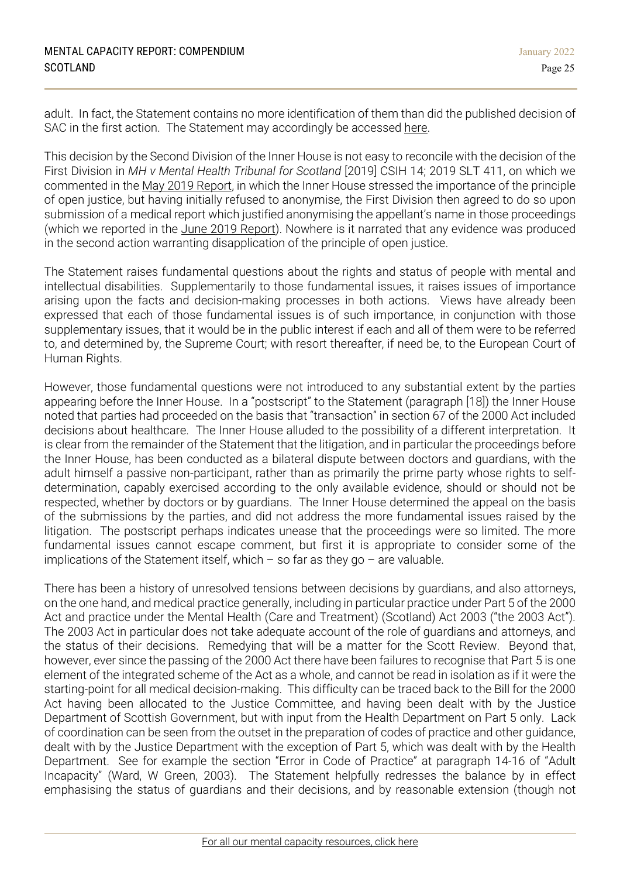adult. In fact, the Statement contains no more identification of them than did the published decision of SAC in the first action. The Statement may accordingly be accessed [here.](https://www.mentalcapacitylawandpolicy.org.uk/wp-content/uploads/2022/02/PKM-Statement-of-Reasons.pdf)

This decision by the Second Division of the Inner House is not easy to reconcile with the decision of the First Division in *MH v Mental Health Tribunal for Scotland* [2019] CSIH 14; 2019 SLT 411, on which we commented in the May 2019 [Report,](https://1f2ca7mxjow42e65q49871m1-wpengine.netdna-ssl.com/wp-content/uploads/2019/05/Mental-Capacity-Report-May-2019-Scotland.pdf) in which the Inner House stressed the importance of the principle of open justice, but having initially refused to anonymise, the First Division then agreed to do so upon submission of a medical report which justified anonymising the appellant's name in those proceedings (which we reported in the June 2019 [Report\)](https://1f2ca7mxjow42e65q49871m1-wpengine.netdna-ssl.com/wp-content/uploads/2019/06/Mental-Capacity-Report-June-2019-Scotland.pdf). Nowhere is it narrated that any evidence was produced in the second action warranting disapplication of the principle of open justice.

The Statement raises fundamental questions about the rights and status of people with mental and intellectual disabilities. Supplementarily to those fundamental issues, it raises issues of importance arising upon the facts and decision-making processes in both actions. Views have already been expressed that each of those fundamental issues is of such importance, in conjunction with those supplementary issues, that it would be in the public interest if each and all of them were to be referred to, and determined by, the Supreme Court; with resort thereafter, if need be, to the European Court of Human Rights.

However, those fundamental questions were not introduced to any substantial extent by the parties appearing before the Inner House. In a "postscript" to the Statement (paragraph [18]) the Inner House noted that parties had proceeded on the basis that "transaction" in section 67 of the 2000 Act included decisions about healthcare. The Inner House alluded to the possibility of a different interpretation. It is clear from the remainder of the Statement that the litigation, and in particular the proceedings before the Inner House, has been conducted as a bilateral dispute between doctors and guardians, with the adult himself a passive non-participant, rather than as primarily the prime party whose rights to selfdetermination, capably exercised according to the only available evidence, should or should not be respected, whether by doctors or by guardians. The Inner House determined the appeal on the basis of the submissions by the parties, and did not address the more fundamental issues raised by the litigation. The postscript perhaps indicates unease that the proceedings were so limited. The more fundamental issues cannot escape comment, but first it is appropriate to consider some of the implications of the Statement itself, which  $-$  so far as they go  $-$  are valuable.

There has been a history of unresolved tensions between decisions by guardians, and also attorneys, on the one hand, and medical practice generally, including in particular practice under Part 5 of the 2000 Act and practice under the Mental Health (Care and Treatment) (Scotland) Act 2003 ("the 2003 Act"). The 2003 Act in particular does not take adequate account of the role of guardians and attorneys, and the status of their decisions. Remedying that will be a matter for the Scott Review. Beyond that, however, ever since the passing of the 2000 Act there have been failures to recognise that Part 5 is one element of the integrated scheme of the Act as a whole, and cannot be read in isolation as if it were the starting-point for all medical decision-making. This difficulty can be traced back to the Bill for the 2000 Act having been allocated to the Justice Committee, and having been dealt with by the Justice Department of Scottish Government, but with input from the Health Department on Part 5 only. Lack of coordination can be seen from the outset in the preparation of codes of practice and other guidance, dealt with by the Justice Department with the exception of Part 5, which was dealt with by the Health Department. See for example the section "Error in Code of Practice" at paragraph 14-16 of "Adult Incapacity" (Ward, W Green, 2003). The Statement helpfully redresses the balance by in effect emphasising the status of guardians and their decisions, and by reasonable extension (though not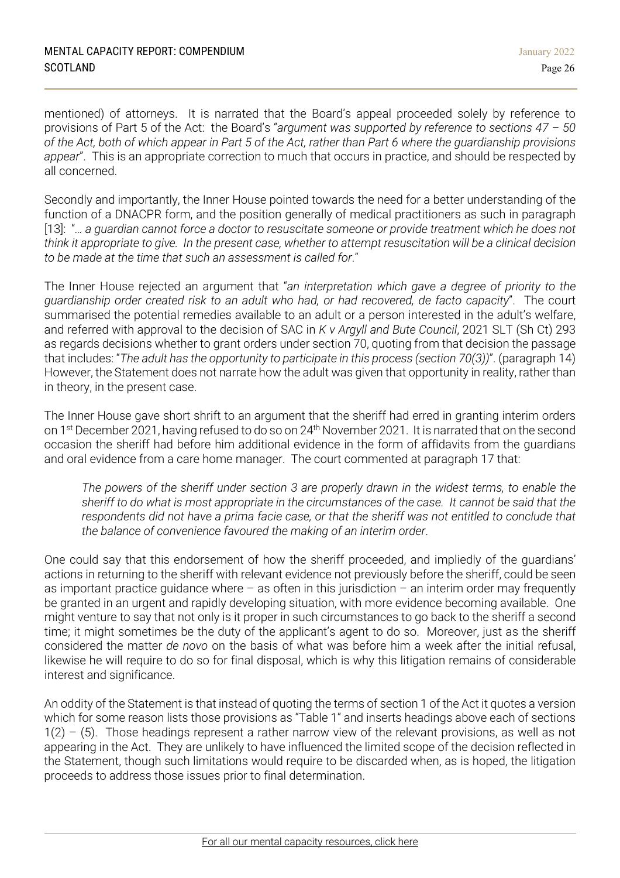mentioned) of attorneys. It is narrated that the Board's appeal proceeded solely by reference to provisions of Part 5 of the Act: the Board's "*argument was supported by reference to sections 47 – 50* of the Act, both of which appear in Part 5 of the Act, rather than Part 6 where the guardianship provisions *appear*". This is an appropriate correction to much that occurs in practice, and should be respected by all concerned.

Secondly and importantly, the Inner House pointed towards the need for a better understanding of the function of a DNACPR form, and the position generally of medical practitioners as such in paragraph [13]: "*… a guardian cannot force a doctor to resuscitate someone or provide treatment which he does not* think it appropriate to give. In the present case, whether to attempt resuscitation will be a clinical decision *to be made at the time that such an assessment is called for*."

The Inner House rejected an argument that "*an interpretation which gave a degree of priority to the guardianship order created risk to an adult who had, or had recovered, de facto capacity*". The court summarised the potential remedies available to an adult or a person interested in the adult's welfare, and referred with approval to the decision of SAC in *K v Argyll and Bute Council*, 2021 SLT (Sh Ct) 293 as regards decisions whether to grant orders under section 70, quoting from that decision the passage that includes: "*The adult has the opportunity to participate in this process (section 70(3))*". (paragraph 14) However, the Statement does not narrate how the adult was given that opportunity in reality, rather than in theory, in the present case.

The Inner House gave short shrift to an argument that the sheriff had erred in granting interim orders on 1st December 2021, having refused to do so on 24th November 2021. It is narrated that on the second occasion the sheriff had before him additional evidence in the form of affidavits from the guardians and oral evidence from a care home manager. The court commented at paragraph 17 that:

*The powers of the sheriff under section 3 are properly drawn in the widest terms, to enable the* sheriff to do what is most appropriate in the circumstances of the case. It cannot be said that the *respondents did not have a prima facie case, or that the sheriff was not entitled to conclude that the balance of convenience favoured the making of an interim order*.

One could say that this endorsement of how the sheriff proceeded, and impliedly of the guardians' actions in returning to the sheriff with relevant evidence not previously before the sheriff, could be seen as important practice guidance where  $-$  as often in this jurisdiction  $-$  an interim order may frequently be granted in an urgent and rapidly developing situation, with more evidence becoming available. One might venture to say that not only is it proper in such circumstances to go back to the sheriff a second time; it might sometimes be the duty of the applicant's agent to do so. Moreover, just as the sheriff considered the matter *de novo* on the basis of what was before him a week after the initial refusal, likewise he will require to do so for final disposal, which is why this litigation remains of considerable interest and significance.

An oddity of the Statement is that instead of quoting the terms of section 1 of the Act it quotes a version which for some reason lists those provisions as "Table 1" and inserts headings above each of sections  $1(2) - (5)$ . Those headings represent a rather narrow view of the relevant provisions, as well as not appearing in the Act. They are unlikely to have influenced the limited scope of the decision reflected in the Statement, though such limitations would require to be discarded when, as is hoped, the litigation proceeds to address those issues prior to final determination.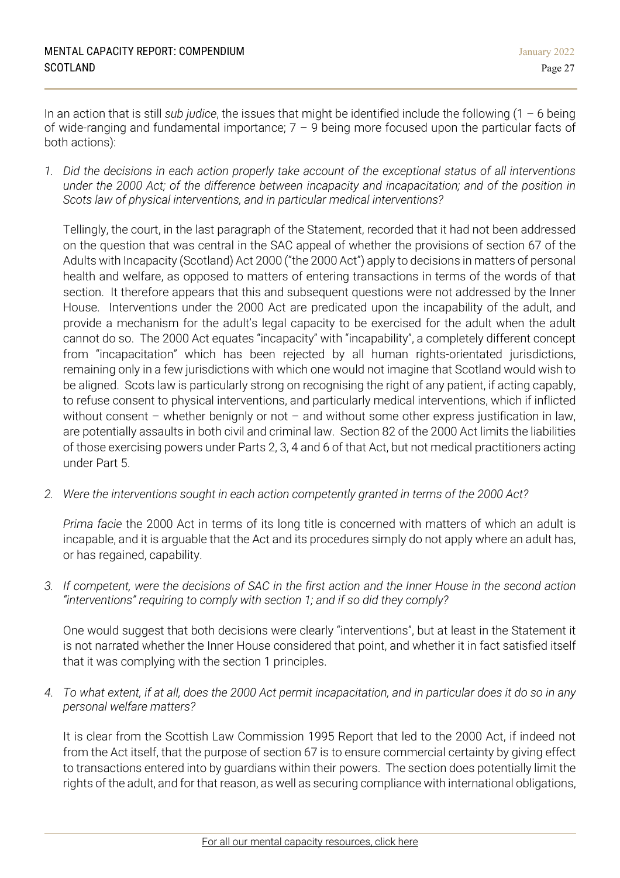In an action that is still *sub judice*, the issues that might be identified include the following (1 – 6 being of wide-ranging and fundamental importance;  $7 - 9$  being more focused upon the particular facts of both actions):

*1. Did the decisions in each action properly take account of the exceptional status of all interventions under the 2000 Act; of the difference between incapacity and incapacitation; and of the position in Scots law of physical interventions, and in particular medical interventions?*

Tellingly, the court, in the last paragraph of the Statement, recorded that it had not been addressed on the question that was central in the SAC appeal of whether the provisions of section 67 of the Adults with Incapacity (Scotland) Act 2000 ("the 2000 Act") apply to decisions in matters of personal health and welfare, as opposed to matters of entering transactions in terms of the words of that section. It therefore appears that this and subsequent questions were not addressed by the Inner House. Interventions under the 2000 Act are predicated upon the incapability of the adult, and provide a mechanism for the adult's legal capacity to be exercised for the adult when the adult cannot do so. The 2000 Act equates "incapacity" with "incapability", a completely different concept from "incapacitation" which has been rejected by all human rights-orientated jurisdictions, remaining only in a few jurisdictions with which one would not imagine that Scotland would wish to be aligned. Scots law is particularly strong on recognising the right of any patient, if acting capably, to refuse consent to physical interventions, and particularly medical interventions, which if inflicted without consent – whether benignly or not – and without some other express justification in law, are potentially assaults in both civil and criminal law. Section 82 of the 2000 Act limits the liabilities of those exercising powers under Parts 2, 3, 4 and 6 of that Act, but not medical practitioners acting under Part 5.

*2. Were the interventions sought in each action competently granted in terms of the 2000 Act?*

*Prima facie* the 2000 Act in terms of its long title is concerned with matters of which an adult is incapable, and it is arguable that the Act and its procedures simply do not apply where an adult has, or has regained, capability.

*3. If competent, were the decisions of SAC in the first action and the Inner House in the second action "interventions" requiring to comply with section 1; and if so did they comply?*

One would suggest that both decisions were clearly "interventions", but at least in the Statement it is not narrated whether the Inner House considered that point, and whether it in fact satisfied itself that it was complying with the section 1 principles.

*4. To what extent, if at all, does the 2000 Act permit incapacitation, and in particular does it do so in any personal welfare matters?*

It is clear from the Scottish Law Commission 1995 Report that led to the 2000 Act, if indeed not from the Act itself, that the purpose of section 67 is to ensure commercial certainty by giving effect to transactions entered into by guardians within their powers. The section does potentially limit the rights of the adult, and for that reason, as well as securing compliance with international obligations,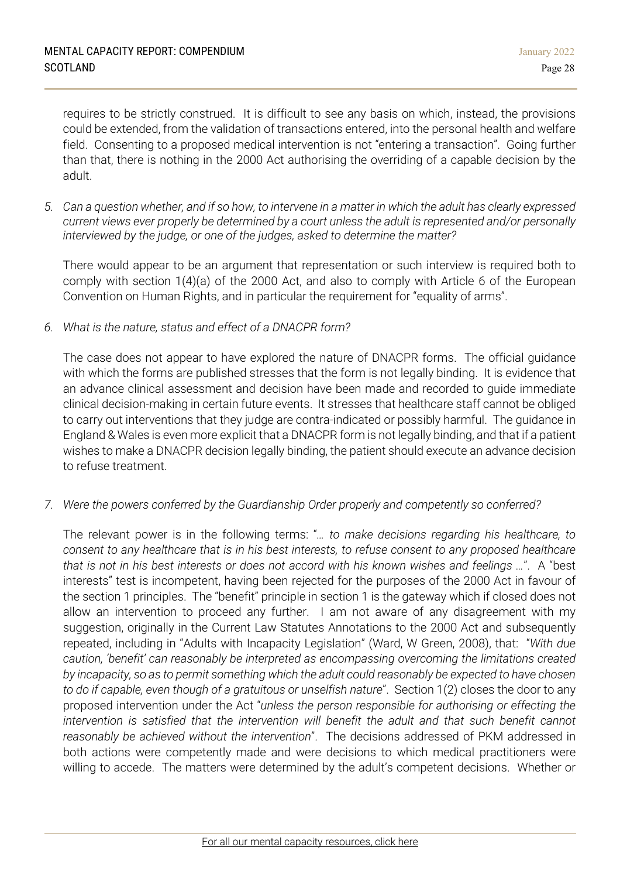requires to be strictly construed. It is difficult to see any basis on which, instead, the provisions could be extended, from the validation of transactions entered, into the personal health and welfare field. Consenting to a proposed medical intervention is not "entering a transaction". Going further than that, there is nothing in the 2000 Act authorising the overriding of a capable decision by the adult.

*5. Can a question whether, and if so how, to intervene in a matter in which the adult has clearly expressed current views ever properly be determined by a court unless the adult is represented and/or personally interviewed by the judge, or one of the judges, asked to determine the matter?*

There would appear to be an argument that representation or such interview is required both to comply with section 1(4)(a) of the 2000 Act, and also to comply with Article 6 of the European Convention on Human Rights, and in particular the requirement for "equality of arms".

*6. What is the nature, status and effect of a DNACPR form?*

The case does not appear to have explored the nature of DNACPR forms. The official guidance with which the forms are published stresses that the form is not legally binding. It is evidence that an advance clinical assessment and decision have been made and recorded to guide immediate clinical decision-making in certain future events. It stresses that healthcare staff cannot be obliged to carry out interventions that they judge are contra-indicated or possibly harmful. The guidance in England & Wales is even more explicit that a DNACPR form is not legally binding, and that if a patient wishes to make a DNACPR decision legally binding, the patient should execute an advance decision to refuse treatment.

*7. Were the powers conferred by the Guardianship Order properly and competently so conferred?*

The relevant power is in the following terms: "*… to make decisions regarding his healthcare, to consent to any healthcare that is in his best interests, to refuse consent to any proposed healthcare that is not in his best interests or does not accord with his known wishes and feelings …*". A "best interests" test is incompetent, having been rejected for the purposes of the 2000 Act in favour of the section 1 principles. The "benefit" principle in section 1 is the gateway which if closed does not allow an intervention to proceed any further. I am not aware of any disagreement with my suggestion, originally in the Current Law Statutes Annotations to the 2000 Act and subsequently repeated, including in "Adults with Incapacity Legislation" (Ward, W Green, 2008), that: "*With due caution, 'benefit' can reasonably be interpreted as encompassing overcoming the limitations created by incapacity, so as to permit something which the adult could reasonably be expected to have chosen to do if capable, even though of a gratuitous or unselfish nature*". Section 1(2) closes the door to any proposed intervention under the Act "*unless the person responsible for authorising or effecting the intervention is satisfied that the intervention will benefit the adult and that such benefit cannot reasonably be achieved without the intervention*". The decisions addressed of PKM addressed in both actions were competently made and were decisions to which medical practitioners were willing to accede. The matters were determined by the adult's competent decisions. Whether or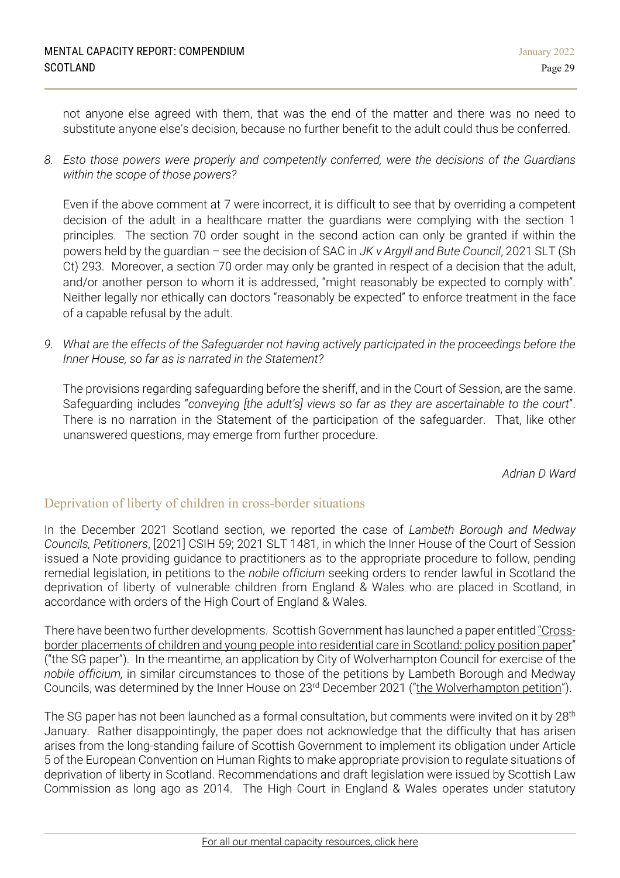not anyone else agreed with them, that was the end of the matter and there was no need to substitute anyone else's decision, because no further benefit to the adult could thus be conferred.

*8. Esto those powers were properly and competently conferred, were the decisions of the Guardians within the scope of those powers?*

Even if the above comment at 7 were incorrect, it is difficult to see that by overriding a competent decision of the adult in a healthcare matter the guardians were complying with the section 1 principles. The section 70 order sought in the second action can only be granted if within the powers held by the guardian – see the decision of SAC in *JK v Argyll and Bute Council*, 2021 SLT (Sh Ct) 293. Moreover, a section 70 order may only be granted in respect of a decision that the adult, and/or another person to whom it is addressed, "might reasonably be expected to comply with". Neither legally nor ethically can doctors "reasonably be expected" to enforce treatment in the face of a capable refusal by the adult.

*9. What are the effects of the Safeguarder not having actively participated in the proceedings before the Inner House, so far as is narrated in the Statement?*

The provisions regarding safeguarding before the sheriff, and in the Court of Session, are the same. Safeguarding includes "*conveying [the adult's] views so far as they are ascertainable to the court*". There is no narration in the Statement of the participation of the safeguarder. That, like other unanswered questions, may emerge from further procedure.

*Adrian D Ward*

# Deprivation of liberty of children in cross-border situations

In the December 2021 Scotland section, we reported the case of *Lambeth Borough and Medway Councils, Petitioners*, [2021] CSIH 59; 2021 SLT 1481, in which the Inner House of the Court of Session issued a Note providing guidance to practitioners as to the appropriate procedure to follow, pending remedial legislation, in petitions to the *nobile officium* seeking orders to render lawful in Scotland the deprivation of liberty of vulnerable children from England & Wales who are placed in Scotland, in accordance with orders of the High Court of England & Wales.

There have been two further developments. Scottish Government has launched a paper entitled ["Cross](https://www.gov.scot/publications/cross-border-placements-of-children-and-young-people-into-residential-care-in-scotland-policy-position-paper/)border [placements](https://www.gov.scot/publications/cross-border-placements-of-children-and-young-people-into-residential-care-in-scotland-policy-position-paper/) of children and young people into residential care in Scotland: policy position paper" ("the SG paper"). In the meantime, an application by City of Wolverhampton Council for exercise of the *nobile officium,* in similar circumstances to those of the petitions by Lambeth Borough and Medway Councils, was determined by the Inner House on 23rd December 2021 ("the [Wolverhampton](https://www.scotcourts.gov.uk/docs/default-source/cos-general-docs/pdf-docs-for-opinions/2021csih69.pdf?sfvrsn=cb3015c7_1) petition").

The SG paper has not been launched as a formal consultation, but comments were invited on it by 28<sup>th</sup> January. Rather disappointingly, the paper does not acknowledge that the difficulty that has arisen arises from the long-standing failure of Scottish Government to implement its obligation under Article 5 of the European Convention on Human Rights to make appropriate provision to regulate situations of deprivation of liberty in Scotland. Recommendations and draft legislation were issued by Scottish Law Commission as long ago as 2014. The High Court in England & Wales operates under statutory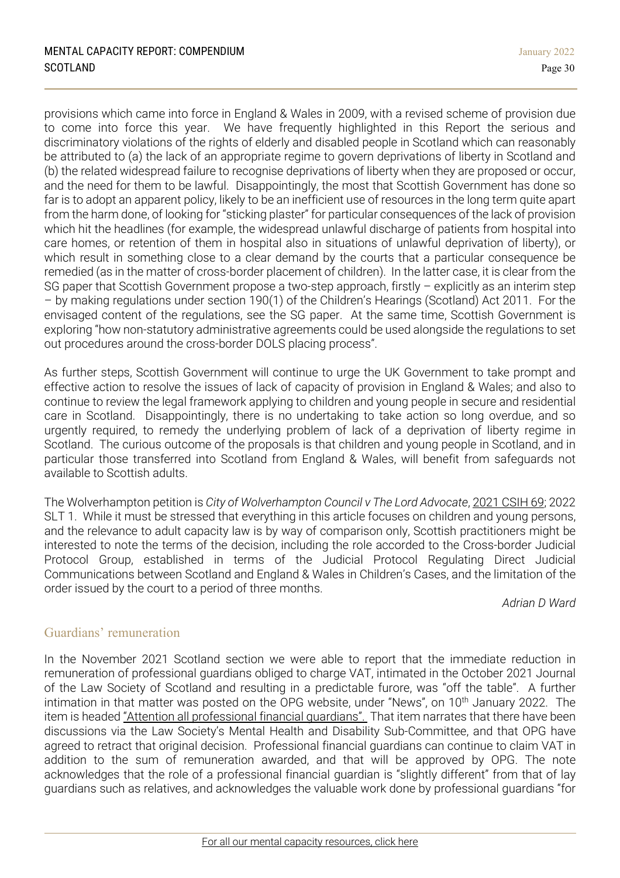provisions which came into force in England & Wales in 2009, with a revised scheme of provision due to come into force this year. We have frequently highlighted in this Report the serious and discriminatory violations of the rights of elderly and disabled people in Scotland which can reasonably be attributed to (a) the lack of an appropriate regime to govern deprivations of liberty in Scotland and (b) the related widespread failure to recognise deprivations of liberty when they are proposed or occur, and the need for them to be lawful. Disappointingly, the most that Scottish Government has done so far is to adopt an apparent policy, likely to be an inefficient use of resources in the long term quite apart from the harm done, of looking for "sticking plaster" for particular consequences of the lack of provision which hit the headlines (for example, the widespread unlawful discharge of patients from hospital into care homes, or retention of them in hospital also in situations of unlawful deprivation of liberty), or which result in something close to a clear demand by the courts that a particular consequence be remedied (as in the matter of cross-border placement of children). In the latter case, it is clear from the SG paper that Scottish Government propose a two-step approach, firstly – explicitly as an interim step – by making regulations under section 190(1) of the Children's Hearings (Scotland) Act 2011. For the envisaged content of the regulations, see the SG paper. At the same time, Scottish Government is exploring "how non-statutory administrative agreements could be used alongside the regulations to set out procedures around the cross-border DOLS placing process".

As further steps, Scottish Government will continue to urge the UK Government to take prompt and effective action to resolve the issues of lack of capacity of provision in England & Wales; and also to continue to review the legal framework applying to children and young people in secure and residential care in Scotland. Disappointingly, there is no undertaking to take action so long overdue, and so urgently required, to remedy the underlying problem of lack of a deprivation of liberty regime in Scotland. The curious outcome of the proposals is that children and young people in Scotland, and in particular those transferred into Scotland from England & Wales, will benefit from safeguards not available to Scottish adults.

The Wolverhampton petition is *City of Wolverhampton Council v The Lord Advocate*, 2021 [CSIH](https://www.scotcourts.gov.uk/docs/default-source/cos-general-docs/pdf-docs-for-opinions/2021csih69.pdf?sfvrsn=cb3015c7_1) 69; 2022 SLT 1. While it must be stressed that everything in this article focuses on children and young persons, and the relevance to adult capacity law is by way of comparison only, Scottish practitioners might be interested to note the terms of the decision, including the role accorded to the Cross-border Judicial Protocol Group, established in terms of the Judicial Protocol Regulating Direct Judicial Communications between Scotland and England & Wales in Children's Cases, and the limitation of the order issued by the court to a period of three months.

*Adrian D Ward*

# Guardians' remuneration

In the November 2021 Scotland section we were able to report that the immediate reduction in remuneration of professional guardians obliged to charge VAT, intimated in the October 2021 Journal of the Law Society of Scotland and resulting in a predictable furore, was "off the table". A further intimation in that matter was posted on the OPG website, under "News", on 10<sup>th</sup> January 2022. The item is headed "Attention all [professional](https://www.publicguardian-scotland.gov.uk/general/news/2022/01/10/attention-all-professional-financial-guardians) financial guardians". That item narrates that there have been discussions via the Law Society's Mental Health and Disability Sub-Committee, and that OPG have agreed to retract that original decision. Professional financial guardians can continue to claim VAT in addition to the sum of remuneration awarded, and that will be approved by OPG. The note acknowledges that the role of a professional financial guardian is "slightly different" from that of lay guardians such as relatives, and acknowledges the valuable work done by professional guardians "for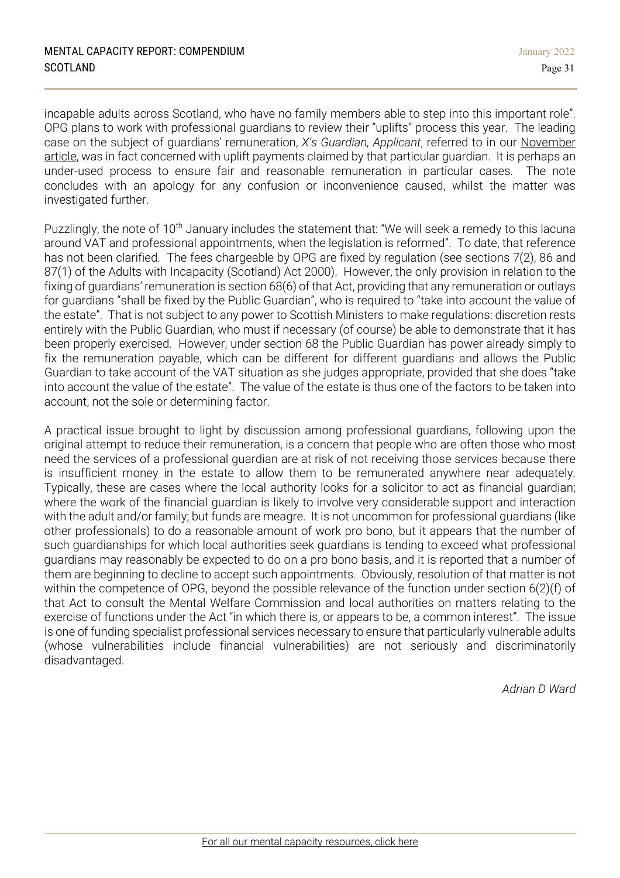incapable adults across Scotland, who have no family members able to step into this important role". OPG plans to work with professional guardians to review their "uplifts" process this year. The leading case on the subject of guardians' remuneration, *X's Guardian, Applicant*, referred to in our [November](https://1f2ca7mxjow42e65q49871m1-wpengine.netdna-ssl.com/wp-content/uploads/2021/11/Mental-Capacity-Report-November-2021-Scotland.pdf) [article,](https://1f2ca7mxjow42e65q49871m1-wpengine.netdna-ssl.com/wp-content/uploads/2021/11/Mental-Capacity-Report-November-2021-Scotland.pdf) was in fact concerned with uplift payments claimed by that particular guardian. It is perhaps an under-used process to ensure fair and reasonable remuneration in particular cases. The note concludes with an apology for any confusion or inconvenience caused, whilst the matter was investigated further.

Puzzlingly, the note of 10<sup>th</sup> January includes the statement that: "We will seek a remedy to this lacuna around VAT and professional appointments, when the legislation is reformed". To date, that reference has not been clarified. The fees chargeable by OPG are fixed by regulation (see sections 7(2), 86 and 87(1) of the Adults with Incapacity (Scotland) Act 2000). However, the only provision in relation to the fixing of guardians' remuneration is section 68(6) of that Act, providing that any remuneration or outlays for guardians "shall be fixed by the Public Guardian", who is required to "take into account the value of the estate". That is not subject to any power to Scottish Ministers to make regulations: discretion rests entirely with the Public Guardian, who must if necessary (of course) be able to demonstrate that it has been properly exercised. However, under section 68 the Public Guardian has power already simply to fix the remuneration payable, which can be different for different guardians and allows the Public Guardian to take account of the VAT situation as she judges appropriate, provided that she does "take into account the value of the estate". The value of the estate is thus one of the factors to be taken into account, not the sole or determining factor.

A practical issue brought to light by discussion among professional guardians, following upon the original attempt to reduce their remuneration, is a concern that people who are often those who most need the services of a professional guardian are at risk of not receiving those services because there is insufficient money in the estate to allow them to be remunerated anywhere near adequately. Typically, these are cases where the local authority looks for a solicitor to act as financial guardian; where the work of the financial guardian is likely to involve very considerable support and interaction with the adult and/or family; but funds are meagre. It is not uncommon for professional guardians (like other professionals) to do a reasonable amount of work pro bono, but it appears that the number of such guardianships for which local authorities seek guardians is tending to exceed what professional guardians may reasonably be expected to do on a pro bono basis, and it is reported that a number of them are beginning to decline to accept such appointments. Obviously, resolution of that matter is not within the competence of OPG, beyond the possible relevance of the function under section 6(2)(f) of that Act to consult the Mental Welfare Commission and local authorities on matters relating to the exercise of functions under the Act "in which there is, or appears to be, a common interest". The issue is one of funding specialist professional services necessary to ensure that particularly vulnerable adults (whose vulnerabilities include financial vulnerabilities) are not seriously and discriminatorily disadvantaged.

*Adrian D Ward*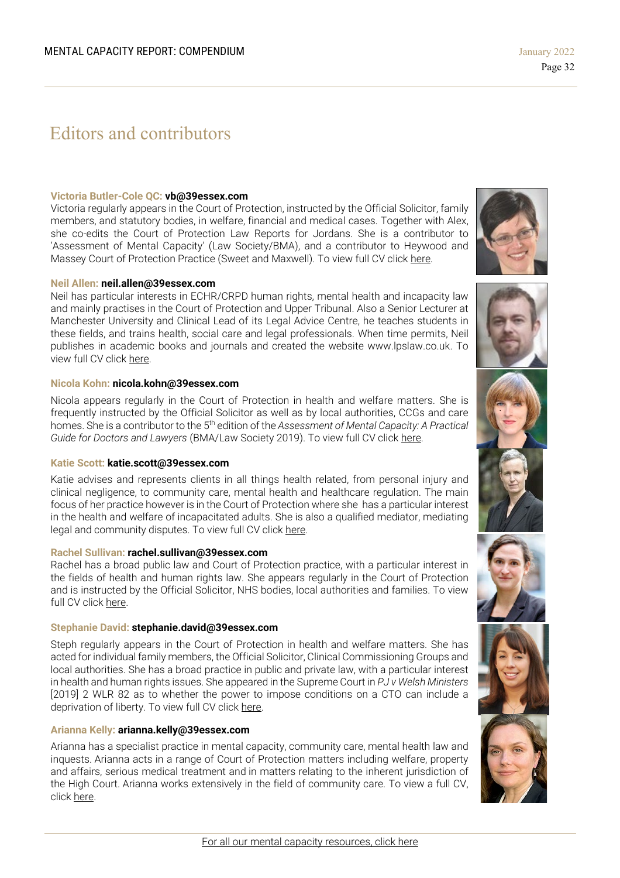# Editors and contributors

#### **Victoria Butler-Cole QC: vb@39essex.com**

Victoria regularly appears in the Court of Protection, instructed by the Official Solicitor, family members, and statutory bodies, in welfare, financial and medical cases. Together with Alex, she co-edits the Court of Protection Law Reports for Jordans. She is a contributor to 'Assessment of Mental Capacity' (Law Society/BMA), and a contributor to Heywood and Massey Court of Protection Practice (Sweet and Maxwell). To view full CV click [here.](http://www.39essex.com/barrister/victoria-butler-cole/)

#### **Neil Allen: neil.allen@39essex.com**

Neil has particular interests in ECHR/CRPD human rights, mental health and incapacity law and mainly practises in the Court of Protection and Upper Tribunal. Also a Senior Lecturer at Manchester University and Clinical Lead of its Legal Advice Centre, he teaches students in these fields, and trains health, social care and legal professionals. When time permits, Neil publishes in academic books and journals and created the website www.lpslaw.co.uk. To view full CV click [here.](http://www.39essex.com/barrister/neil-allen/)

#### **Nicola Kohn: nicola.kohn@39essex.com**

Nicola appears regularly in the Court of Protection in health and welfare matters. She is frequently instructed by the Official Solicitor as well as by local authorities, CCGs and care homes. She is a contributor to the 5th edition of the *Assessment of Mental Capacity: A Practical Guide for Doctors and Lawyers* (BMA/Law Society 2019). To view full CV click [here.](http://www.39essex.com/barrister/nicola-kohn/)

#### **Katie Scott: katie.scott@39essex.com**

Katie advises and represents clients in all things health related, from personal injury and clinical negligence, to community care, mental health and healthcare regulation. The main focus of her practice however is in the Court of Protection where she has a particular interest in the health and welfare of incapacitated adults. She is also a qualified mediator, mediating legal and community disputes. To view full CV click [here.](http://www.39essex.com/barrister/katharine-scott/)

#### **Rachel Sullivan: rachel.sullivan@39essex.com**

Rachel has a broad public law and Court of Protection practice, with a particular interest in the fields of health and human rights law. She appears regularly in the Court of Protection and is instructed by the Official Solicitor, NHS bodies, local authorities and families. To view full CV click [here.](https://www.39essex.com/barrister/rachel-sullivan/)

#### **Stephanie David: stephanie.david@39essex.com**

Steph regularly appears in the Court of Protection in health and welfare matters. She has acted for individual family members, the Official Solicitor, Clinical Commissioning Groups and local authorities. She has a broad practice in public and private law, with a particular interest in health and human rights issues. She appeared in the Supreme Court in *PJ v Welsh Ministers* [2019] 2 WLR 82 as to whether the power to impose conditions on a CTO can include a deprivation of liberty. To view full CV click [here.](http://www.39essex.com/barrister/simon-edwards/)

#### **Arianna Kelly: arianna.kelly@39essex.com**

Arianna has a specialist practice in mental capacity, community care, mental health law and inquests. Arianna acts in a range of Court of Protection matters including welfare, property and affairs, serious medical treatment and in matters relating to the inherent jurisdiction of the High Court. Arianna works extensively in the field of community care. To view a full CV, click [here.](https://www.39essex.com/barrister/arianna-kelly/)











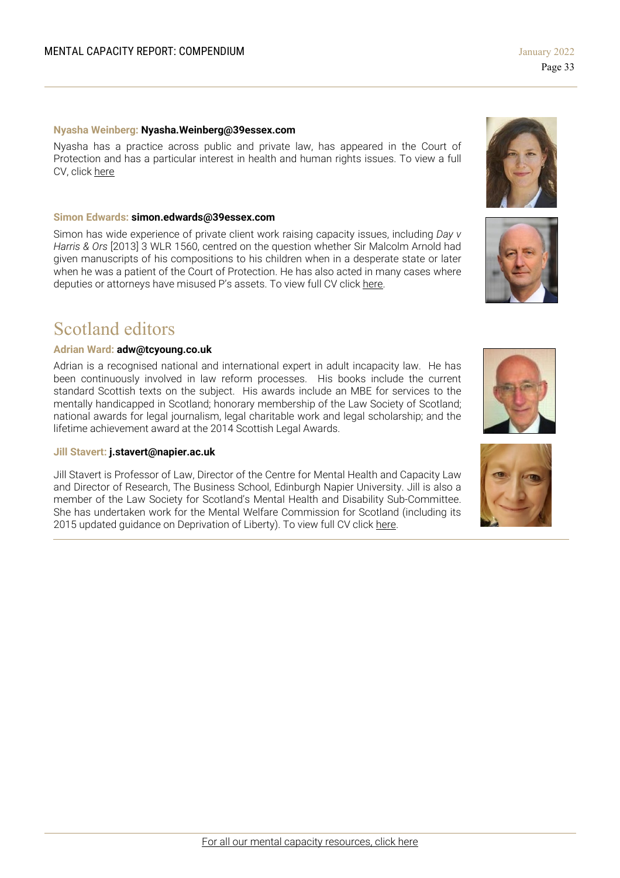#### **Nyasha Weinberg: Nyasha.Weinberg@39essex.com**

Nyasha has a practice across public and private law, has appeared in the Court of Protection and has a particular interest in health and human rights issues. To view a full CV, click [here](https://www.39essex.com/barrister/nyasha-weinberg/)

#### **Simon Edwards: simon.edwards@39essex.com**

Simon has wide experience of private client work raising capacity issues, including *Day v Harris & Ors* [2013] 3 WLR 1560, centred on the question whether Sir Malcolm Arnold had given manuscripts of his compositions to his children when in a desperate state or later when he was a patient of the Court of Protection. He has also acted in many cases where deputies or attorneys have misused P's assets. To view full CV click [here.](http://www.39essex.com/barrister/simon-edwards/)

# Scotland editors

#### **Adrian Ward: adw@tcyoung.co.uk**

Adrian is a recognised national and international expert in adult incapacity law. He has been continuously involved in law reform processes. His books include the current standard Scottish texts on the subject. His awards include an MBE for services to the mentally handicapped in Scotland; honorary membership of the Law Society of Scotland; national awards for legal journalism, legal charitable work and legal scholarship; and the lifetime achievement award at the 2014 Scottish Legal Awards.

#### **Jill Stavert: j.stavert@napier.ac.uk**

Jill Stavert is Professor of Law, Director of the Centre for Mental Health and Capacity Law and Director of Research, The Business School, Edinburgh Napier University. Jill is also a member of the Law Society for Scotland's Mental Health and Disability Sub-Committee. She has undertaken work for the Mental Welfare Commission for Scotland (including its 2015 updated quidance on Deprivation of Liberty). To view full CV click [here.](http://www.napier.ac.uk/people/jill-stavert)







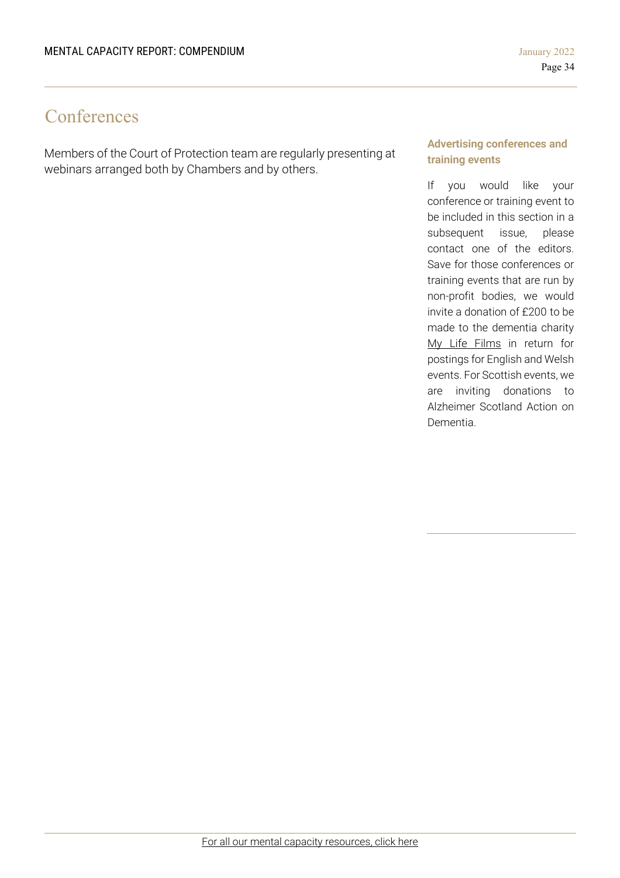# **Conferences**

Members of the Court of Protection team are regularly presenting at webinars arranged both by Chambers and by others.

#### **Advertising conferences and training events**

If you would like your conference or training event to be included in this section in a subsequent issue, please contact one of the editors. Save for those conferences or training events that are run by non-profit bodies, we would invite a donation of £200 to be made to the dementia charity My Life Films in return for postings for English and Welsh events. For Scottish events, we are inviting donations to Alzheimer Scotland Action on Dementia.